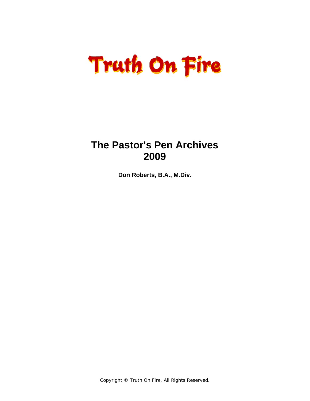### **The Pastor's Pen Archives 2009**

**Don Roberts, B.A., M.Div.** 

Copyright © Truth On Fire. All Rights Reserved.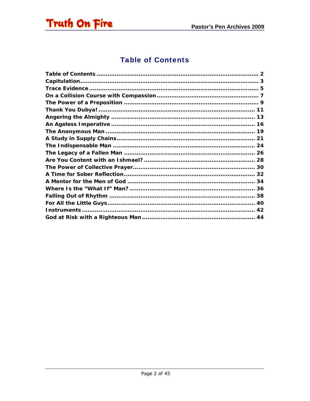<span id="page-1-0"></span>

#### **Table of Contents**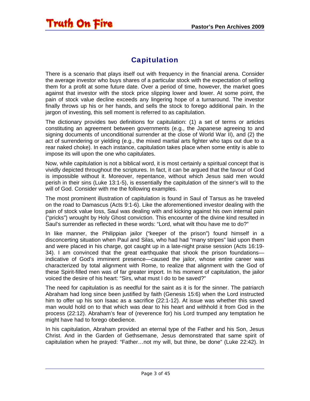#### **Capitulation**

<span id="page-2-0"></span>There is a scenario that plays itself out with frequency in the financial arena. Consider the average investor who buys shares of a particular stock with the expectation of selling them for a profit at some future date. Over a period of time, however, the market goes against that investor with the stock price slipping lower and lower. At some point, the pain of stock value decline exceeds any lingering hope of a turnaround. The investor finally throws up his or her hands, and sells the stock to forego additional pain. In the jargon of investing, this sell moment is referred to as capitulation.

The dictionary provides two definitions for capitulation: (1) a set of terms or articles constituting an agreement between governments (e.g., the Japanese agreeing to and signing documents of unconditional surrender at the close of World War II), and (2) the act of surrendering or yielding (e.g., the mixed martial arts fighter who taps out due to a rear naked choke). In each instance, capitulation takes place when some entity is able to impose its will upon the one who capitulates.

Now, while capitulation is not a biblical word, it is most certainly a spiritual concept that is vividly depicted throughout the scriptures. In fact, it can be argued that the favour of God is impossible without it. Moreover, repentance, without which Jesus said men would perish in their sins (Luke 13:1-5), is essentially the capitulation of the sinner's will to the will of God. Consider with me the following examples.

The most prominent illustration of capitulation is found in Saul of Tarsus as he traveled on the road to Damascus (Acts 9:1-6). Like the aforementioned investor dealing with the pain of stock value loss, Saul was dealing with and kicking against his own internal pain ("pricks") wrought by Holy Ghost conviction. This encounter of the divine kind resulted in Saul's surrender as reflected in these words: "Lord, what wilt thou have me to do?"

In like manner, the Philippian jailor ("keeper of the prison") found himself in a disconcerting situation when Paul and Silas, who had had "many stripes" laid upon them and were placed in his charge, got caught up in a late-night praise session (Acts 16:19- 34). I am convinced that the great earthquake that shook the prison foundations indicative of God's imminent presence—caused the jailor, whose entire career was characterized by total alignment with Rome, to realize that alignment with the God of these Spirit-filled men was of far greater import. In his moment of capitulation, the jailor voiced the desire of his heart: "Sirs, what must I do to be saved?"

The need for capitulation is as needful for the saint as it is for the sinner. The patriarch Abraham had long since been justified by faith (Genesis 15:6) when the Lord instructed him to offer up his son Isaac as a sacrifice (22:1-12). At issue was whether this saved man would hold on to that which was dear to his heart and withhold it from God in the process (22:12). Abraham's fear of (reverence for) his Lord trumped any temptation he might have had to forego obedience.

In his capitulation, Abraham provided an eternal type of the Father and his Son, Jesus Christ. And in the Garden of Gethsemane, Jesus demonstrated that same spirit of capitulation when he prayed: "Father…not my will, but thine, be done" (Luke 22:42). In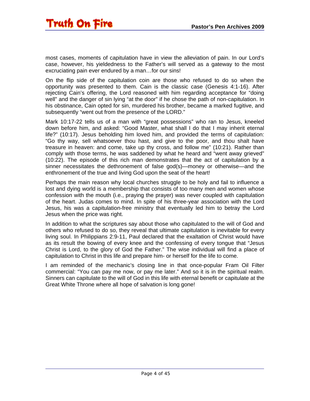most cases, moments of capitulation have in view the alleviation of pain. In our Lord's case, however, his yieldedness to the Father's will served as a gateway to the most excruciating pain ever endured by a man…for our sins!

On the flip side of the capitulation coin are those who refused to do so when the opportunity was presented to them. Cain is the classic case (Genesis 4:1-16). After rejecting Cain's offering, the Lord reasoned with him regarding acceptance for "doing well" and the danger of sin lying "at the door" if he chose the path of non-capitulation. In his obstinance, Cain opted for sin, murdered his brother, became a marked fugitive, and subsequently "went out from the presence of the LORD."

Mark 10:17-22 tells us of a man with "great possessions" who ran to Jesus, kneeled down before him, and asked: "Good Master, what shall I do that I may inherit eternal life?" (10:17). Jesus beholding him loved him, and provided the terms of capitulation: "Go thy way, sell whatsoever thou hast, and give to the poor, and thou shalt have treasure in heaven: and come, take up thy cross, and follow me" (10:21). Rather than comply with those terms, he was saddened by what he heard and "went away grieved" (10:22). The episode of this rich man demonstrates that the act of capitulation by a sinner necessitates the dethronement of false god(s)—money or otherwise—and the enthronement of the true and living God upon the seat of the heart!

Perhaps the main reason why local churches struggle to be holy and fail to influence a lost and dying world is a membership that consists of too many men and women whose confession with the mouth (i.e., praying the prayer) was never coupled with capitulation of the heart. Judas comes to mind. In spite of his three-year association with the Lord Jesus, his was a capitulation-free ministry that eventually led him to betray the Lord Jesus when the price was right.

In addition to what the scriptures say about those who capitulated to the will of God and others who refused to do so, they reveal that ultimate capitulation is inevitable for every living soul. In Philippians 2:9-11, Paul declared that the exaltation of Christ would have as its result the bowing of every knee and the confessing of every tongue that "Jesus Christ is Lord, to the glory of God the Father." The wise individual will find a place of capitulation to Christ in this life and prepare him- or herself for the life to come.

I am reminded of the mechanic's closing line in that once-popular Fram Oil Filter commercial: "You can pay me now, or pay me later." And so it is in the spiritual realm. Sinners can capitulate to the will of God in this life with eternal benefit or capitulate at the Great White Throne where all hope of salvation is long gone!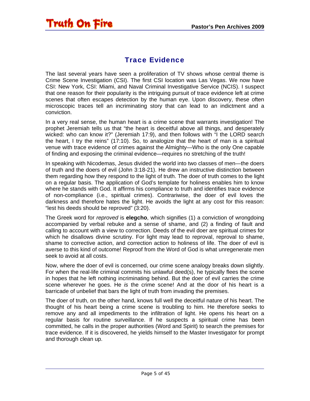#### Trace Evidence

<span id="page-4-0"></span>The last several years have seen a proliferation of TV shows whose central theme is Crime Scene Investigation (CSI). The first CSI location was Las Vegas. We now have CSI: New York, CSI: Miami, and Naval Criminal Investigative Service (NCIS). I suspect that one reason for their popularity is the intriguing pursuit of trace evidence left at crime scenes that often escapes detection by the human eye. Upon discovery, these often microscopic traces tell an incriminating story that can lead to an indictment and a conviction.

In a very real sense, the human heart is a crime scene that warrants investigation! The prophet Jeremiah tells us that "the heart is deceitful above all things, and desperately wicked: who can know it?" (Jeremiah 17:9), and then follows with "I the LORD search the heart, I try the reins" (17:10). So, to analogize that the heart of man is a spiritual venue with trace evidence of crimes against the Almighty—Who is the only One capable of finding and exposing the criminal evidence—requires no stretching of the truth!

In speaking with Nicodemas, Jesus divided the world into two classes of men—the doers of truth and the doers of evil (John 3:18-21). He drew an instructive distinction between them regarding how they respond to the light of truth. The doer of truth comes to the light on a regular basis. The application of God's template for holiness enables him to know where he stands with God. It affirms his compliance to truth and identifies trace evidence of non-compliance (i.e., spiritual crimes). Contrariwise, the doer of evil loves the darkness and therefore hates the light. He avoids the light at any cost for this reason: "lest his deeds should be reproved" (3:20).

The Greek word for *reproved* is **elegcho**, which signifies (1) a conviction of wrongdoing accompanied by verbal rebuke and a sense of shame, and (2) a finding of fault and calling to account with a view to correction. Deeds of the evil doer are spiritual crimes for which he disallows divine scrutiny. For light may lead to reproval, reproval to shame, shame to corrective action, and correction action to holiness of life. The doer of evil is averse to this kind of outcome! Reproof from the Word of God is what unregenerate men seek to avoid at all costs.

Now, where the doer of evil is concerned, our crime scene analogy breaks down slightly. For when the real-life criminal commits his unlawful deed(s), he typically flees the scene in hopes that he left nothing incriminating behind. But the doer of evil carries the crime scene wherever he goes. He *is* the crime scene! And at the door of his heart is a barricade of unbelief that bars the light of truth from invading the premises.

The doer of truth, on the other hand, knows full well the deceitful nature of his heart. The thought of his heart being a crime scene is troubling to him. He therefore seeks to remove any and all impediments to the infiltration of light. He opens his heart on a regular basis for routine surveillance. If he suspects a spiritual crime has been committed, he calls in the proper authorities (Word and Spirit) to search the premises for trace evidence. If it is discovered, he yields himself to the Master Investigator for prompt and thorough clean up.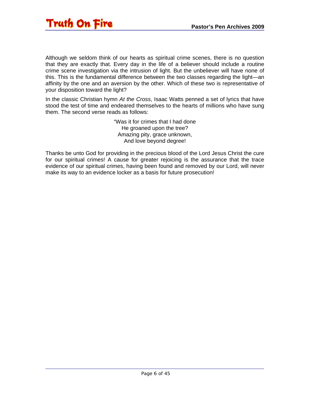

Although we seldom think of our hearts as spiritual crime scenes, there is no question that they are exactly that. Every day in the life of a believer should include a routine crime scene investigation via the intrusion of light. But the unbeliever will have none of this. This is the fundamental difference between the two classes regarding the light—an affinity by the one and an aversion by the other. Which of these two is representative of your disposition toward the light?

In the classic Christian hymn *At the Cross*, Isaac Watts penned a set of lyrics that have stood the test of time and endeared themselves to the hearts of millions who have sung them. The second verse reads as follows:

> "Was it for crimes that I had done He groaned upon the tree? Amazing pity, grace unknown, And love beyond degree!

Thanks be unto God for providing in the precious blood of the Lord Jesus Christ the cure for our spiritual crimes! A cause for greater rejoicing is the assurance that the trace evidence of our spiritual crimes, having been found and removed by our Lord, will never make its way to an evidence locker as a basis for future prosecution!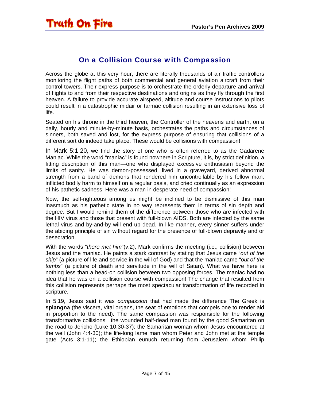#### On a Collision Course with Compassion

<span id="page-6-0"></span>Across the globe at this very hour, there are literally thousands of air traffic controllers monitoring the flight paths of both commercial and general aviation aircraft from their control towers. Their express purpose is to orchestrate the orderly departure and arrival of flights to and from their respective destinations and origins as they fly through the first heaven. A failure to provide accurate airspeed, altitude and course instructions to pilots could result in a catastrophic midair or tarmac collision resulting in an extensive loss of life.

Seated on his throne in the third heaven, the Controller of the heavens and earth, on a daily, hourly and minute-by-minute basis, orchestrates the paths and circumstances of sinners, both saved and lost, for the express purpose of ensuring that collisions of a different sort do indeed take place. These would be collisions with compassion!

In Mark 5:1-20, we find the story of one who is often referred to as the Gadarene Maniac. While the word "maniac" is found nowhere in Scripture, it is, by strict definition, a fitting description of this man—one who displayed excessive enthusiasm beyond the limits of sanity. He was demon-possessed, lived in a graveyard, derived abnormal strength from a band of demons that rendered him uncontrollable by his fellow man, inflicted bodily harm to himself on a regular basis, and cried continually as an expression of his pathetic sadness. Here was a man in desperate need of compassion!

Now, the self-righteous among us might be inclined to be dismissive of this man inasmuch as his pathetic state in no way represents them in terms of sin depth and degree. But I would remind them of the difference between those who are infected with the HIV virus and those that present with full-blown AIDS. Both are infected by the same lethal virus and by-and-by will end up dead. In like manner, every sinner suffers under the abiding principle of sin without regard for the presence of full-blown depravity and or desecration.

With the words "*there met him*"(v.2), Mark confirms the meeting (i.e., collision) between Jesus and the maniac. He paints a stark contrast by stating that Jesus came "*out of the ship*" (a picture of life and service in the will of God) and that the maniac came "*out of the tombs*" (a picture of death and servitude in the will of Satan). What we have here is nothing less than a head-on collision between two opposing forces. The maniac had no idea that he was on a collision course with compassion! The change that resulted from this collision represents perhaps the most spectacular transformation of life recorded in scripture.

In 5:19, Jesus said it was *compassion* that had made the difference The Greek is **splangna** (the viscera, vital organs, the seat of emotions that compels one to render aid in proportion to the need). The same compassion was responsible for the following transformative collisions: the wounded half-dead man found by the good Samaritan on the road to Jericho (Luke 10:30-37); the Samaritan woman whom Jesus encountered at the well (John 4:4-30); the life-long lame man whom Peter and John met at the temple gate (Acts 3:1-11); the Ethiopian eunuch returning from Jerusalem whom Philip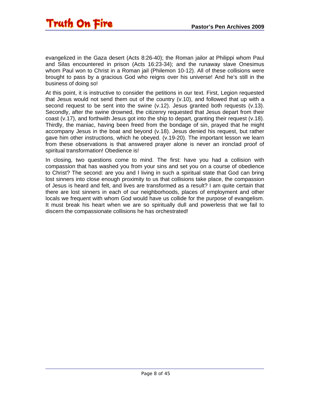evangelized in the Gaza desert (Acts 8:26-40); the Roman jailor at Philippi whom Paul and Silas encountered in prison (Acts 16:23-34); and the runaway slave Onesimus whom Paul won to Christ in a Roman jail (Philemon 10-12). All of these collisions were brought to pass by a gracious God who reigns over his universe! And he's still in the business of doing so!

At this point, it is instructive to consider the petitions in our text. First, Legion requested that Jesus would not send them out of the country (v.10), and followed that up with a second request to be sent into the swine  $(v.12)$ . Jesus granted both requests  $(v.13)$ . Secondly, after the swine drowned, the citizenry requested that Jesus depart from their coast (v.17), and forthwith Jesus got into the ship to depart, granting their request (v.18). Thirdly, the maniac, having been freed from the bondage of sin, prayed that he might accompany Jesus in the boat and beyond (v.18). Jesus denied his request, but rather gave him other instructions, which he obeyed. (v.19-20). The important lesson we learn from these observations is that answered prayer alone is never an ironclad proof of spiritual transformation! Obedience is!

In closing, two questions come to mind. The first: have you had a collision with compassion that has washed you from your sins and set you on a course of obedience to Christ? The second: are you and I living in such a spiritual state that God can bring lost sinners into close enough proximity to us that collisions take place, the compassion of Jesus is heard and felt, and lives are transformed as a result? I am quite certain that there are lost sinners in each of our neighborhoods, places of employment and other locals we frequent with whom God would have us collide for the purpose of evangelism. It must break his heart when we are so spiritually dull and powerless that we fail to discern the compassionate collisions he has orchestrated!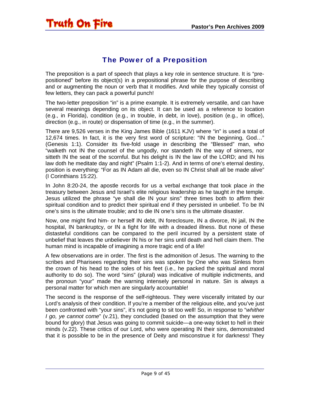#### The Power of a Preposition

<span id="page-8-0"></span>The preposition is a part of speech that plays a key role in sentence structure. It is "prepositioned" before its object(s) in a prepositional phrase for the purpose of describing and or augmenting the noun or verb that it modifies. And while they typically consist of few letters, they can pack a powerful punch!

The two-letter preposition "in" is a prime example. It is extremely versatile, and can have several meanings depending on its object. It can be used as a reference to location (e.g., in Florida), condition (e.g., in trouble, in debt, in love), position (e.g., in office), direction (e.g., in route) or dispensation of time (e.g., in the summer).

There are 9,526 verses in the King James Bible (1611 KJV) where "in" is used a total of 12,674 times. In fact, it is the very first word of scripture: "IN the beginning, God…" (Genesis 1:1). Consider its five-fold usage in describing the "Blessed" man, who "walketh not IN the counsel of the ungodly, nor standeth IN the way of sinners, nor sitteth IN the seat of the scornful. But his delight is IN the law of the LORD; and IN his law doth he meditate day and night" (Psalm 1:1-2). And in terms of one's eternal destiny, position is everything: "For as IN Adam all die, even so IN Christ shall all be made alive" (I Corinthians 15:22).

In John 8:20-24, the apostle records for us a verbal exchange that took place *in* the treasury between Jesus and Israel's elite religious leadership as he taught *in* the temple. Jesus utilized the phrase "ye shall die IN your sins" three times both to affirm their spiritual condition and to predict their spiritual end if they persisted in unbelief. To be IN one's sins is the ultimate trouble; and to die IN one's sins is the ultimate disaster.

Now, one might find him- or herself IN debt, IN foreclosure, IN a divorce, IN jail, IN the hospital, IN bankruptcy, or IN a fight for life with a dreaded illness. But none of these distasteful conditions can be compared to the peril incurred by a persistent state of unbelief that leaves the unbeliever IN his or her sins until death and hell claim them. The human mind is incapable of imagining a more tragic end of a life!

A few observations are in order. The first is the admonition of Jesus. The warning to the scribes and Pharisees regarding their sins was spoken by One who was Sinless from the crown of his head to the soles of his feet (i.e., he packed the spiritual and moral authority to do so). The word "sins" (plural) was indicative of multiple indictments, and the pronoun "your" made the warning intensely personal in nature. Sin is always a personal matter for which men are singularly accountable!

The second is the response of the self-righteous. They were viscerally irritated by our Lord's analysis of their condition. If you're a member of the religious elite, and you've just been confronted with "your sins", it's not going to sit too well! So, in response to "*whither I go, ye cannot come*" (v.21), they concluded (based on the assumption that they were bound for glory) that Jesus was going to commit suicide—a one-way ticket to hell in their minds (v.22). These critics of our Lord, who were operating IN their sins, demonstrated that it is possible to be in the presence of Deity and misconstrue it for darkness! They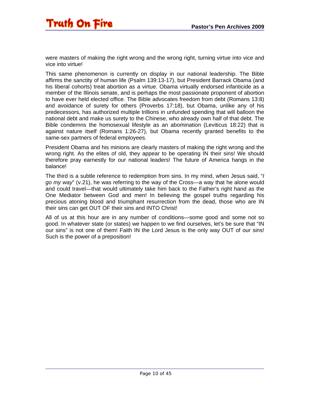were masters of making the right wrong and the wrong right, turning virtue into vice and vice into virtue!

This same phenomenon is currently on display in our national leadership. The Bible affirms the sanctity of human life (Psalm 139:13-17), but President Barrack Obama (and his liberal cohorts) treat abortion as a virtue. Obama virtually endorsed infanticide as a member of the Illinois senate, and is perhaps the most passionate proponent of abortion to have ever held elected office. The Bible advocates freedom from debt (Romans 13:8) and avoidance of surety for others (Proverbs 17:18), but Obama, unlike any of his predecessors, has authorized multiple trillions in unfunded spending that will balloon the national debt and make us surety to the Chinese, who already own half of that debt. The Bible condemns the homosexual lifestyle as an abomination (Leviticus 18:22) that is against nature itself (Romans 1:26-27), but Obama recently granted benefits to the same-sex partners of federal employees.

President Obama and his minions are clearly masters of making the right wrong and the wrong right. As the elites of old, they appear to be operating IN their sins! We should therefore pray earnestly for our national leaders! The future of America hangs in the balance!

The third is a subtle reference to redemption from sins. In my mind, when Jesus said, "*I go my way*" (v.21), he was referring to the way of the Cross—a way that he alone would and could travel—that would ultimately take him back to the Father's right hand as the One Mediator between God and men! In believing the gospel truths regarding his precious atoning blood and triumphant resurrection from the dead, those who are IN their sins can get OUT OF their sins and INTO Christ!

All of us at this hour are in any number of conditions—some good and some not so good. In whatever state (or states) we happen to we find ourselves, let's be sure that "IN our sins" is not one of them! Faith IN the Lord Jesus is the only way OUT of our sins! Such is the power of a preposition!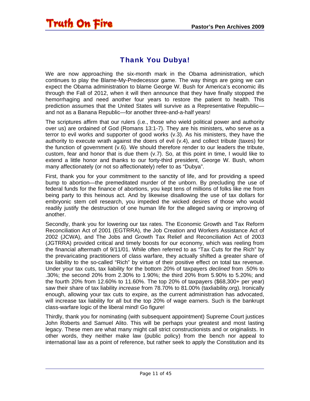<span id="page-10-0"></span>

#### Thank You Dubya!

We are now approaching the six-month mark in the Obama administration, which continues to play the Blame-My-Predecessor game. The way things are going we can expect the Obama administration to blame George W. Bush for America's economic ills through the Fall of 2012, when it will then announce that they have finally stopped the hemorrhaging and need another four years to restore the patient to health. This prediction assumes that the United States will survive as a Representative Republic and not as a Banana Republic—for another three-and-a-half years!

The scriptures affirm that our rulers (i.e., those who wield political power and authority over us) are ordained of God (Romans 13:1-7). They are his ministers, who serve as a terror to evil works and supporter of good works (v.3). As his ministers, they have the authority to execute wrath against the doers of evil (v.4), and collect tribute (taxes) for the function of government (v.6). We should therefore render to our leaders the tribute, custom, fear and honor that is due them (v.7). So, at this point in time, I would like to extend a little honor and thanks to our forty-third president, George W. Bush, whom many affectionately (or not so affectionately) refer to as "Dubya".

First, thank you for your commitment to the sanctity of life, and for providing a speed bump to abortion—the premeditated murder of the unborn. By precluding the use of federal funds for the finance of abortions, you kept tens of millions of folks like me from being party to this heinous act. And by likewise disallowing the use of tax dollars for embryonic stem cell research, you impeded the wicked desires of those who would readily justify the destruction of one human life for the alleged saving or improving of another.

Secondly, thank you for lowering our tax rates. The Economic Growth and Tax Reform Reconciliation Act of 2001 (EGTRRA), the Job Creation and Workers Assistance Act of 2002 (JCWA), and The Jobs and Growth Tax Relief and Reconciliation Act of 2003 (JGTRRA) provided critical and timely boosts for our economy, which was reeling from the financial aftermath of 9/11/01. While often referred to as "Tax Cuts for the Rich" by the prevaricating practitioners of class warfare, they actually shifted a greater share of tax liability to the so-called "Rich" by virtue of their positive effect on total tax revenue. Under your tax cuts, tax liability for the bottom 20% of taxpayers *declined* from .50% to .30%; the second 20% from 2.30% to 1.90%; the third 20% from 5.90% to 5.20%; and the fourth 20% from 12.60% to 11.60%. The top 20% of taxpayers (\$68,300+ per year) saw their share of tax liability *increase* from 78.70% to 81.00% (taxliability.org). Ironically enough, allowing your tax cuts to expire, as the current administration has advocated, will increase tax liability for all but the top 20% of wage earners. Such is the bankrupt class-warfare logic of the liberal mind! Go figure!

Thirdly, thank you for nominating (with subsequent appointment) Supreme Court justices John Roberts and Samuel Alito. This will be perhaps your greatest and most lasting legacy. These men are what many might call strict constructionists and or originalists. In other words, they neither make law (public policy) from the bench nor appeal to international law as a point of reference, but rather seek to apply the Constitution and its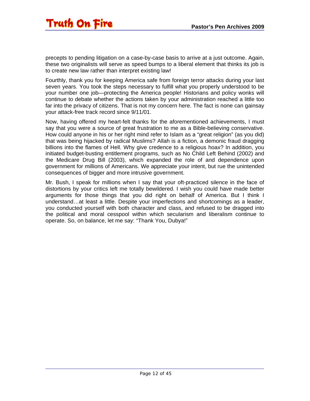precepts to pending litigation on a case-by-case basis to arrive at a just outcome. Again, these two originalists will serve as speed bumps to a liberal element that thinks its job is to create new law rather than interpret existing law!

Fourthly, thank you for keeping America safe from foreign terror attacks during your last seven years. You took the steps necessary to fulfill what you properly understood to be your number one job—protecting the America people! Historians and policy wonks will continue to debate whether the actions taken by your administration reached a little too far into the privacy of citizens. That is not my concern here. The fact is none can gainsay your attack-free track record since 9/11/01.

Now, having offered my heart-felt thanks for the aforementioned achievements, I must say that you were a source of great frustration to me as a Bible-believing conservative. How could anyone in his or her right mind refer to Islam as a "great religion" (as you did) that was being hijacked by radical Muslims? Allah is a fiction, a demonic fraud dragging billions into the flames of Hell. Why give credence to a religious hoax? In addition, you initiated budget-busting entitlement programs, such as No Child Left Behind (2002) and the Medicare Drug Bill (2003), which expanded the role of and dependence upon government for millions of Americans. We appreciate your intent, but rue the unintended consequences of bigger and more intrusive government.

Mr. Bush, I speak for millions when I say that your oft-practiced silence in the face of distortions by your critics left me totally bewildered. I wish you could have made better arguments for those things that you did right on behalf of America. But I think I understand…at least a little. Despite your imperfections and shortcomings as a leader, you conducted yourself with both character and class, and refused to be dragged into the political and moral cesspool within which secularism and liberalism continue to operate. So, on balance, let me say: "Thank You, Dubya!"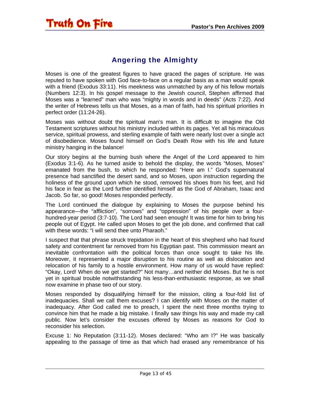#### Angering the Almighty

<span id="page-12-0"></span>Moses is one of the greatest figures to have graced the pages of scripture. He was reputed to have spoken with God face-to-face on a regular basis as a man would speak with a friend (Exodus 33:11). His meekness was unmatched by any of his fellow mortals (Numbers 12:3). In his gospel message to the Jewish council, Stephen affirmed that Moses was a "learned" man who was "mighty in words and in deeds" (Acts 7:22). And the writer of Hebrews tells us that Moses, as a man of faith, had his spiritual priorities in perfect order (11:24-26).

Moses was without doubt the spiritual man's man. It is difficult to imagine the Old Testament scriptures without his ministry included within its pages. Yet all his miraculous service, spiritual prowess, and sterling example of faith were nearly lost over a single act of disobedience. Moses found himself on God's Death Row with his life and future ministry hanging in the balance!

Our story begins at the burning bush where the Angel of the Lord appeared to him (Exodus 3:1-6). As he turned aside to behold the display, the words "Moses, Moses" emanated from the bush, to which he responded: "Here am I." God's supernatural presence had sanctified the desert sand, and so Moses, upon instruction regarding the holiness of the ground upon which he stood, removed his shoes from his feet, and hid his face in fear as the Lord further identified himself as the God of Abraham, Isaac and Jacob. So far, so good! Moses responded perfectly.

The Lord continued the dialogue by explaining to Moses the purpose behind his appearance—the "affliction", "sorrows" and "oppression" of his people over a fourhundred-year period (3:7-10). The Lord had seen enough! It was time for him to bring his people out of Egypt. He called upon Moses to get the job done, and confirmed that call with these words: "I will send thee unto Pharaoh."

I suspect that that phrase struck trepidation in the heart of this shepherd who had found safety and contentment far removed from his Egyptian past. This commission meant an inevitable confrontation with the political forces than once sought to take his life. Moreover, it represented a major disruption to his routine as well as dislocation and relocation of his family to a hostile environment. How many of us would have replied: "Okay, Lord! When do we get started?" Not many…and neither did Moses. But he is not yet in spiritual trouble notwithstanding his less-than-enthusiastic response, as we shall now examine in phase two of our story.

Moses responded by disqualifying himself for the mission, citing a four-fold list of inadequacies. Shall we call them excuses? I can identify with Moses on the matter of inadequacy. After God called me to preach, I spent the next three months trying to convince him that he made a big mistake. I finally saw things his way and made my call public. Now let's consider the excuses offered by Moses as reasons for God to reconsider his selection.

Excuse 1: No Reputation (3:11-12). Moses declared: "Who am I?" He was basically appealing to the passage of time as that which had erased any remembrance of his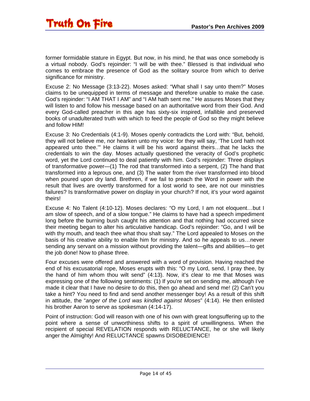former formidable stature in Egypt. But now, in his mind, he that was once somebody is a virtual nobody. God's rejoinder: "I will be with thee." Blessed is that individual who comes to embrace the presence of God as the solitary source from which to derive significance for ministry.

Excuse 2: No Message (3:13-22). Moses asked: "What shall I say unto them?" Moses claims to be unequipped in terms of message and therefore unable to make the case. God's rejoinder: "I AM THAT I AM" and "I AM hath sent me." He assures Moses that they will listen to and follow his message based on an authoritative word from their God. And every God-called preacher in this age has sixty-six inspired, infallible and preserved books of unadulterated truth with which to feed the people of God so they might believe and follow HIM!

Excuse 3: No Credentials (4:1-9). Moses openly contradicts the Lord with: "But, behold, they will not believe me, nor hearken unto my voice: for they will say, 'The Lord hath not appeared unto thee.'" He claims it will be his word against theirs…that he lacks the credentials to win the day. Moses actually questioned the veracity of God's prophetic word, yet the Lord continued to deal patiently with him. God's rejoinder: Three displays of transformative power—(1) The rod that transformed into a serpent, (2) The hand that transformed into a leprous one, and (3) The water from the river transformed into blood when poured upon dry land. Brethren, if we fail to preach the Word in power with the result that lives are overtly transformed for a lost world to see, are not our ministries failures? Is transformative power on display in your church? If not, it's your word against theirs!

Excuse 4: No Talent (4:10-12). Moses declares: "O my Lord, I am not eloquent…but I am slow of speech, and of a slow tongue." He claims to have had a speech impediment long before the burning bush caught his attention and that nothing had occurred since their meeting began to alter his articulative handicap. God's rejoinder: "Go, and I will be with thy mouth, and teach thee what thou shalt say." The Lord appealed to Moses on the basis of his creative ability to enable him for ministry. And so he appeals to us…never sending any servant on a mission without providing the talent—gifts and abilities—to get the job done! Now to phase three.

Four excuses were offered and answered with a word of provision. Having reached the end of his excusatorial rope, Moses erupts with this: "O my Lord, send, I pray thee, by the hand of him whom thou wilt send" (4:13). Now, it's clear to me that Moses was expressing one of the following sentiments: (1) If you're set on sending me, although I've made it clear that I have no desire to do this, then go ahead and send me! (2) Can't you take a hint? You need to find and send another messenger boy! As a result of this shift in attitude, the "*anger of the Lord was kindled against Moses*" (4:14). He then enlisted his brother Aaron to serve as spokesman (4:14-17).

Point of instruction: God will reason with one of his own with great longsuffering up to the point where a sense of unworthiness shifts to a spirit of unwillingness. When the recipient of special REVELATION responds with RELUCTANCE, he or she will likely anger the Almighty! And RELUCTANCE spawns DISOBEDIENCE!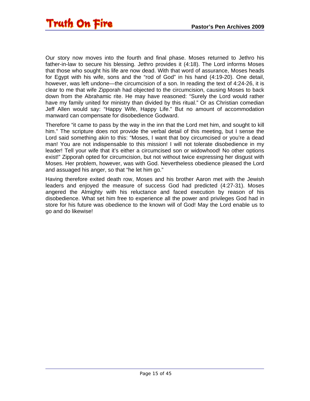Our story now moves into the fourth and final phase. Moses returned to Jethro his father-in-law to secure his blessing. Jethro provides it (4:18). The Lord informs Moses that those who sought his life are now dead. With that word of assurance, Moses heads for Egypt with his wife, sons and the "rod of God" in his hand (4:19-20). One detail, however, was left undone—the circumcision of a son. In reading the text of 4:24-26, it is clear to me that wife Zipporah had objected to the circumcision, causing Moses to back down from the Abrahamic rite. He may have reasoned: "Surely the Lord would rather have my family united for ministry than divided by this ritual." Or as Christian comedian Jeff Allen would say: "Happy Wife, Happy Life." But no amount of accommodation manward can compensate for disobedience Godward.

Therefore "it came to pass by the way in the inn that the Lord met him, and sought to kill him." The scripture does not provide the verbal detail of this meeting, but I sense the Lord said something akin to this: "Moses, I want that boy circumcised or you're a dead man! You are not indispensable to this mission! I will not tolerate disobedience in my leader! Tell your wife that it's either a circumcised son or widowhood! No other options exist!" Zipporah opted for circumcision, but not without twice expressing her disgust with Moses. Her problem, however, was with God. Nevertheless obedience pleased the Lord and assuaged his anger, so that "he let him go."

Having therefore exited death row, Moses and his brother Aaron met with the Jewish leaders and enjoyed the measure of success God had predicted (4:27-31). Moses angered the Almighty with his reluctance and faced execution by reason of his disobedience. What set him free to experience all the power and privileges God had in store for his future was obedience to the known will of God! May the Lord enable us to go and do likewise!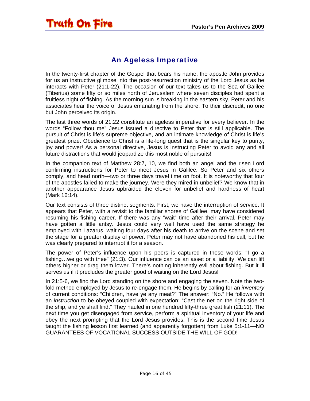#### An Ageless Imperative

<span id="page-15-0"></span>In the twenty-first chapter of the Gospel that bears his name, the apostle John provides for us an instructive glimpse into the post-resurrection ministry of the Lord Jesus as he interacts with Peter (21:1-22). The occasion of our text takes us to the Sea of Galilee (Tiberius) some fifty or so miles north of Jerusalem where seven disciples had spent a fruitless night of fishing. As the morning sun is breaking in the eastern sky, Peter and his associates hear the voice of Jesus emanating from the shore. To their discredit, no one but John perceived its origin.

The last three words of 21:22 constitute an ageless imperative for every believer. In the words "Follow thou me" Jesus issued a directive to Peter that is still applicable. The pursuit of Christ is life's supreme objective, and an intimate knowledge of Christ is life's greatest prize. Obedience to Christ is a life-long quest that is the singular key to purity, joy and power! As a personal directive, Jesus is instructing Peter to avoid any and all future distractions that would jeopardize this most noble of pursuits!

In the companion text of Matthew 28:7, 10, we find both an angel and the risen Lord confirming instructions for Peter to meet Jesus in Galilee. So Peter and six others comply, and head north—two or three days travel time on foot. It is noteworthy that four of the apostles failed to make the journey. Were they mired in unbelief? We know that in another appearance Jesus upbraided the eleven for unbelief and hardness of heart (Mark 16:14).

Our text consists of three distinct segments. First, we have the interruption of service. It appears that Peter, with a revisit to the familiar shores of Galilee, may have considered resuming his fishing career. If there was any "wait" time after their arrival, Peter may have gotten a little antsy. Jesus could very well have used the same strategy he employed with Lazarus, waiting four days after his death to arrive on the scene and set the stage for a greater display of power. Peter may not have abandoned his call, but he was clearly prepared to interrupt it for a season.

The power of Peter's influence upon his peers is captured in these words: "I go a fishing…we go with thee" (21:3). Our influence can be an asset or a liability. We can lift others higher or drag them lower. There's nothing inherently evil about fishing. But it ill serves us if it precludes the greater good of waiting on the Lord Jesus!

In 21:5-6, we find the Lord standing on the shore and engaging the seven. Note the twofold method employed by Jesus to re-engage them. He begins by calling for an *inventory* of current conditions: "Children, have ye any meat?" The answer: "No." He follows with an *instruction* to be obeyed coupled with expectation: "Cast the net on the right side of the ship, and ye shall find." They hauled in one hundred fifty-three great fish (21:11). The next time you get disengaged from service, perform a spiritual inventory of your life and obey the next prompting that the Lord Jesus provides. This is the second time Jesus taught the fishing lesson first learned (and apparently forgotten) from Luke 5:1-11—NO GUARANTEES OF VOCATIONAL SUCCESS OUTSIDE THE WILL OF GOD!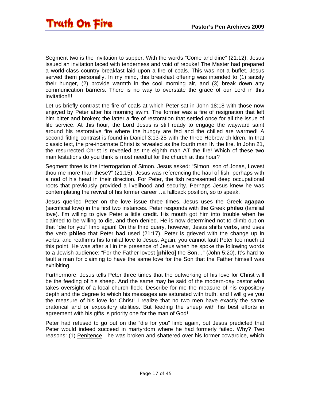Segment two is the invitation to supper. With the words "Come and dine" (21:12), Jesus issued an invitation laced with tenderness and void of rebuke! The Master had prepared a world-class country breakfast laid upon a fire of coals. This was not a buffet. Jesus served them personally. In my mind, this breakfast offering was intended to (1) satisfy their hunger, (2) provide warmth in the cool morning air, and (3) break down any communication barriers. There is no way to overstate the grace of our Lord in this invitation!!!

Let us briefly contrast the fire of coals at which Peter sat in John 18:18 with those now enjoyed by Peter after his morning swim. The former was a fire of resignation that left him bitter and broken; the latter a fire of restoration that settled once for all the issue of life service. At this hour, the Lord Jesus is still ready to engage the wayward saint around his restorative fire where the hungry are fed and the chilled are warmed! A second fitting contrast is found in Daniel 3:13-25 with the three Hebrew children. In that classic text, the pre-incarnate Christ is revealed as the fourth man IN the fire. In John 21, the resurrected Christ is revealed as the eighth man AT the fire! Which of these two manifestations do you think is most needful for the church at this hour?

Segment three is the interrogation of Simon. Jesus asked: "Simon, son of Jonas, Lovest thou me more than these?" (21:15). Jesus was referencing the haul of fish, perhaps with a nod of his head in their direction. For Peter, the fish represented deep occupational roots that previously provided a livelihood and security. Perhaps Jesus knew he was contemplating the revival of his former career…a fallback position, so to speak.

Jesus queried Peter on the love issue three times. Jesus uses the Greek **agapao** (sacrificial love) in the first two instances. Peter responds with the Greek **phileo** (familial love). I'm willing to give Peter a little credit. His mouth got him into trouble when he claimed to be willing to die, and then denied. He is now determined not to climb out on that "die for you" limb again! On the third query, however, Jesus shifts verbs, and uses the verb **phileo** that Peter had used (21:17). Peter is grieved with the change up in verbs, and reaffirms his familial love to Jesus. Again, you cannot fault Peter too much at this point. He was after all in the presence of Jesus when he spoke the following words to a Jewish audience: "For the Father lovest [**phileo**] the Son…" (John 5:20). It's hard to fault a man for claiming to have the same love for the Son that the Father himself was exhibiting.

Furthermore, Jesus tells Peter three times that the outworking of his love for Christ will be the feeding of his sheep. And the same may be said of the modern-day pastor who takes oversight of a local church flock. Describe for me the measure of his expository depth and the degree to which his messages are saturated with truth, and I will give you the measure of his love for Christ! I realize that no two men have exactly the same oratorical and or expository abilities. But feeding the sheep with his best efforts in agreement with his gifts is priority one for the man of God!

Peter had refused to go out on the "die for you" limb again, but Jesus predicted that Peter would indeed succeed in martyrdom where he had formerly failed. Why? Two reasons: (1) Penitence—he was broken and shattered over his former cowardice, which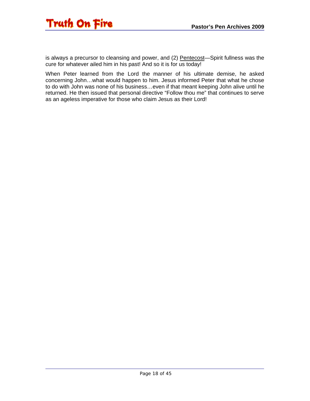

is always a precursor to cleansing and power, and (2) Pentecost—Spirit fullness was the cure for whatever ailed him in his past! And so it is for us today!

When Peter learned from the Lord the manner of his ultimate demise, he asked concerning John…what would happen to him. Jesus informed Peter that what he chose to do with John was none of his business…even if that meant keeping John alive until he returned. He then issued that personal directive "Follow thou me" that continues to serve as an ageless imperative for those who claim Jesus as their Lord!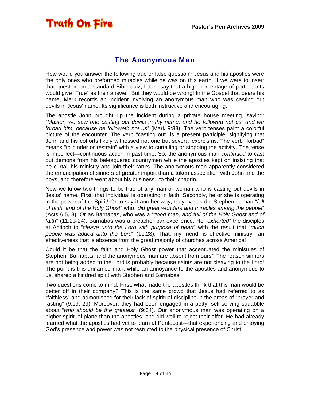#### The Anonymous Man

<span id="page-18-0"></span>How would you answer the following true or false question? Jesus and his apostles were the only ones who preformed miracles while he was on this earth. If we were to insert that question on a standard Bible quiz, I dare say that a high percentage of participants would give "True" as their answer. But they would be wrong! In the Gospel that bears his name, Mark records an incident involving an anonymous man who was casting out devils in Jesus' name. Its significance is both instructive and encouraging.

The apostle John brought up the incident during a private house meeting, saying: "*Master, we saw one casting out devils in thy name, and he followed not us: and we forbad him, because he followeth not us*" (Mark 9:38). The verb tenses paint a colorful picture of the encounter. The verb "casting out" is a present participle, signifying that John and his cohorts likely witnessed not one but several exorcisms. The verb "forbad" means "to hinder or restrain" with a view to curtailing or stopping the activity. The tense is imperfect—continuous action in past time. So, the anonymous man *continued* to cast out demons from his beleaguered countrymen while the apostles kept on insisting that he curtail his ministry and join their ranks. The anonymous man apparently considered the emancipation of sinners of greater import than a token association with John and the boys, and therefore went about his business...to their chagrin.

Now we know two things to be true of any man or woman who is casting out devils in Jesus' name. First, that individual is operating in faith. Secondly, he or she is operating in the power of the Spirit! Or to say it another way, they live as did Stephen, a man "*full of faith, and of the Holy Ghost*" who "*did great wonders and miracles among the people*" (Acts 6:5, 8). Or as Barnabas, who was a "*good man, and full of the Holy Ghost and of faith*" (11:23-24). Barnabas was a preacher par excellence. He "*exhorted*" the disciples at Antioch to "*cleave unto the Lord with purpose of heart*" with the result that "*much people was added unto the Lord*" (11:23). That, my friend, is effective ministry—an effectiveness that is absence from the great majority of churches across America!

Could it be that the faith and Holy Ghost power that accentuated the ministries of Stephen, Barnabas, and the anonymous man are absent from ours? The reason sinners are not being added to the Lord is probably because saints are not cleaving to the Lord! The point is this unnamed man, while an annoyance to the apostles and anonymous to us, shared a kindred spirit with Stephen and Barnabas!

Two questions come to mind. First, what made the apostles think that this man would be better off in their company? This is the same crowd that Jesus had referred to as "faithless" and admonished for their lack of spiritual discipline in the areas of "prayer and fasting" (9:19, 29). Moreover, they had been engaged in a petty, self-serving squabble about "*who should be the greatest*" (9:34). Our anonymous man was operating on a higher spiritual plane than the apostles, and did well to reject their offer. He had already learned what the apostles had yet to learn at Pentecost—that experiencing and enjoying God's presence and power was not restricted to the physical presence of Christ!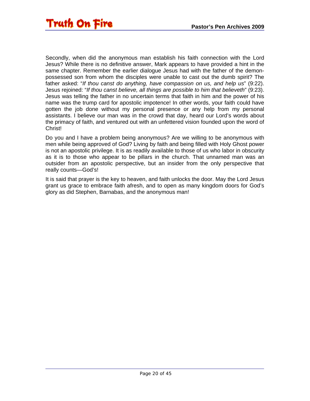Secondly, when did the anonymous man establish his faith connection with the Lord Jesus? While there is no definitive answer, Mark appears to have provided a hint in the same chapter. Remember the earlier dialogue Jesus had with the father of the demonpossessed son from whom the disciples were unable to cast out the dumb spirit? The father asked: "*If thou canst do anything, have compassion on us, and help us*" (9:22). Jesus rejoined: "*If thou canst believe, all things are possible to him that believeth*" (9:23). Jesus was telling the father in no uncertain terms that faith in him and the power of his name was the trump card for apostolic impotence! In other words, your faith could have gotten the job done without my personal presence or any help from my personal assistants. I believe our man was in the crowd that day, heard our Lord's words about the primacy of faith, and ventured out with an unfettered vision founded upon the word of Christ!

Do you and I have a problem being anonymous? Are we willing to be anonymous with men while being approved of God? Living by faith and being filled with Holy Ghost power is not an apostolic privilege. It is as readily available to those of us who labor in obscurity as it is to those who appear to be pillars in the church. That unnamed man was an outsider from an apostolic perspective, but an insider from the only perspective that really counts—God's!

It is said that prayer is the key to heaven, and faith unlocks the door. May the Lord Jesus grant us grace to embrace faith afresh, and to open as many kingdom doors for God's glory as did Stephen, Barnabas, and the anonymous man!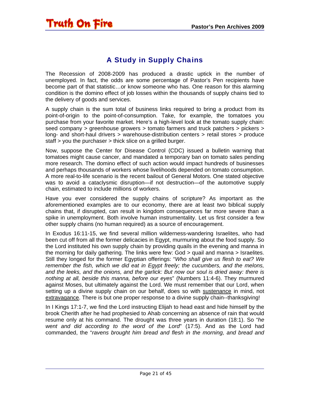#### A Study in Supply Chains

<span id="page-20-0"></span>The Recession of 2008-2009 has produced a drastic uptick in the number of unemployed. In fact, the odds are some percentage of Pastor's Pen recipients have become part of that statistic…or know someone who has. One reason for this alarming condition is the domino effect of job losses within the thousands of supply chains tied to the delivery of goods and services.

A supply chain is the sum total of business links required to bring a product from its point-of-origin to the point-of-consumption. Take, for example, the tomatoes you purchase from your favorite market. Here's a high-level look at the tomato supply chain: seed company > greenhouse growers > tomato farmers and truck patchers > pickers > long- and short-haul drivers > warehouse-distribution centers > retail stores > produce staff > you the purchaser > thick slice on a grilled burger.

Now, suppose the Center for Disease Control (CDC) issued a bulletin warning that tomatoes might cause cancer, and mandated a temporary ban on tomato sales pending more research. The domino effect of such action would impact hundreds of businesses and perhaps thousands of workers whose livelihoods depended on tomato consumption. A more real-to-life scenario is the recent bailout of General Motors. One stated objective was to avoid a cataclysmic disruption—if not destruction—of the automotive supply chain, estimated to include millions of workers.

Have you ever considered the supply chains of scripture? As important as the aforementioned examples are to our economy, there are at least two biblical supply chains that, if disrupted, can result in kingdom consequences far more severe than a spike in unemployment. Both involve human instrumentality. Let us first consider a few other supply chains (no human required) as a source of encouragement.

In Exodus 16:11-15, we find several million wilderness-wandering Israelites, who had been cut off from all the former delicacies in Egypt, murmuring about the food supply. So the Lord instituted his own supply chain by providing quails in the evening and manna in the morning for daily gathering. The links were few: God > quail and manna > Israelites. Still they longed for the former Egyptian offerings: "*Who shall give us flesh to eat? We remember the fish, which we did eat in Egypt freely; the cucumbers, and the melons, and the leeks, and the onions, and the garlick: But now our soul is dried away: there is nothing at all, beside this manna, before our eyes*" (Numbers 11:4-6). They murmured against Moses, but ultimately against the Lord. We must remember that our Lord, when setting up a divine supply chain on our behalf, does so with sustenance in mind, not extravagance. There is but one proper response to a divine supply chain--thanksgiving!

In I Kings 17:1-7, we find the Lord instructing Elijah to head east and hide himself by the brook Cherith after he had prophesied to Ahab concerning an absence of rain that would resume only at his command. The drought was three years in duration (18:1). So "*he went and did according to the word of the Lord*" (17:5). And as the Lord had commanded, the "*ravens brought him bread and flesh in the morning, and bread and*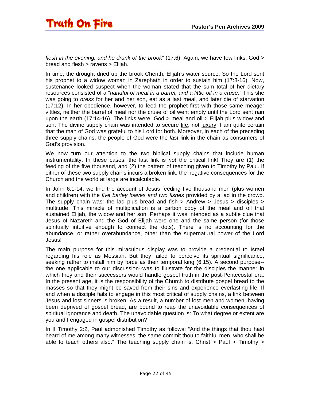*flesh in the evening; and he drank of the brook*" (17:6). Again, we have few links: God > bread and flesh > ravens > Elijah.

In time, the drought dried up the brook Cherith, Elijah's water source. So the Lord sent his prophet to a widow woman in Zarephath in order to sustain him (17:8-16). Now, sustenance looked suspect when the woman stated that the sum total of her dietary resources consisted of a "*handful of meal in a barrel, and a little oil in a cruse*." This she was going to *dress* for her and her son, eat as a last meal, and later die of starvation (17:12). In her obedience, however, to feed the prophet first with those same meager vittles, neither the barrel of meal nor the cruse of oil went empty until the Lord sent rain upon the earth (17:14-16). The links were: God > meal and oil > Elijah plus widow and son. The divine supply chain was intended to secure life, not luxury! I am quite certain that the man of God was grateful to his Lord for both. Moreover, in each of the preceding three supply chains, the people of God were the *last* link in the chain as consumers of God's provision.

We now turn our attention to the two biblical supply chains that include human instrumentality. In these cases, the last link is *not* the critical link! They are (1) the feeding of the five thousand, and (2) the pattern of teaching given to Timothy by Paul. If either of these two supply chains incurs a broken link, the negative consequences for the Church and the world at large are incalculable.

In John 6:1-14, we find the account of Jesus feeding five thousand men (plus women and children) with the *five barley loaves and two fishes* provided by a lad in the crowd. The supply chain was: the lad plus bread and fish  $>$  Andrew  $>$  Jesus  $>$  disciples  $>$ multitude. This miracle of multiplication is a carbon copy of the meal and oil that sustained Elijah, the widow and her son. Perhaps it was intended as a subtle clue that Jesus of Nazareth and the God of Elijah were one and the same person (for those spiritually intuitive enough to connect the dots). There is no accounting for the abundance, or rather overabundance, other than the supernatural power of the Lord Jesus!

The main purpose for this miraculous display was to provide a credential to Israel regarding his role as Messiah. But they failed to perceive its spiritual significance, seeking rather to install him by force as their temporal king (6:15). A second purpose- the one applicable to our discussion--was to illustrate for the disciples the manner in which they and their successors would handle gospel truth in the post-Pentecostal era. In the present age, it is the responsibility of the Church to distribute gospel bread to the masses so that they might be saved from their sins and experience everlasting life. If and when a disciple fails to engage in this most critical of supply chains, a link between Jesus and lost sinners is broken. As a result, a number of lost men and women, having been deprived of gospel bread, are bound to reap the unavoidable consequences of spiritual ignorance and death. The unavoidable question is: To what degree or extent are you and I engaged in gospel distribution?

In II Timothy 2:2, Paul admonished Timothy as follows: "And the things that thou hast heard of me among many witnesses, the same commit thou to faithful men, who shall be able to teach others also." The teaching supply chain is: Christ  $>$  Paul  $>$  Timothy  $>$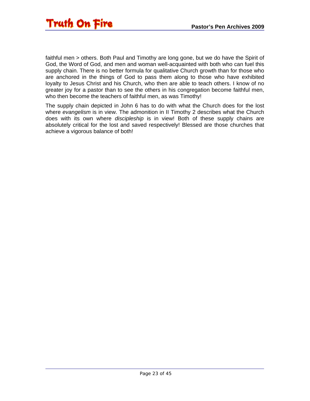

faithful men > others. Both Paul and Timothy are long gone, but we do have the Spirit of God, the Word of God, and men and woman well-acquainted with both who can fuel this supply chain. There is no better formula for qualitative Church growth than for those who are anchored in the things of God to pass them along to those who have exhibited loyalty to Jesus Christ and his Church, who then are able to teach others. I know of no greater joy for a pastor than to see the others in his congregation become faithful men, who then become the teachers of faithful men, as was Timothy!

The supply chain depicted in John 6 has to do with what the Church does for the lost where *evangelism* is in view. The admonition in II Timothy 2 describes what the Church does with its own where *discipleship* is in view! Both of these supply chains are absolutely critical for the lost and saved respectively! Blessed are those churches that achieve a vigorous balance of both!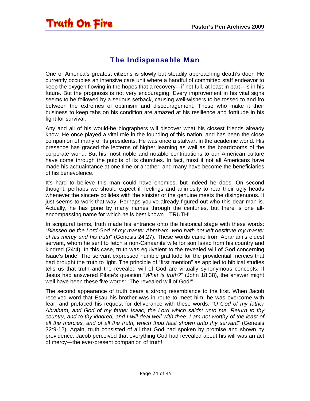#### The Indispensable Man

<span id="page-23-0"></span>One of America's greatest citizens is slowly but steadily approaching death's door. He currently occupies an intensive care unit where a handful of committed staff endeavor to keep the oxygen flowing in the hopes that a recovery—if not full, at least in part—is in his future. But the prognosis is not very encouraging. Every improvement in his vital signs seems to be followed by a serious setback, causing well-wishers to be tossed to and fro between the extremes of optimism and discouragement. Those who make it their business to keep tabs on his condition are amazed at his resilience and fortitude in his fight for survival.

Any and all of his would-be biographers will discover what his closest friends already know. He once played a vital role in the founding of this nation, and has been the close companion of many of its presidents. He was once a stalwart in the academic world. His presence has graced the lecterns of higher learning as well as the boardrooms of the corporate world. But his most noble and notable contributions to our American culture have come through the pulpits of its churches. In fact, most if not all Americans have made his acquaintance at one time or another, and many have become the beneficiaries of his benevolence.

It's hard to believe this man could have enemies, but indeed he does. On second thought, perhaps we should expect ill feelings and animosity to rear their ugly heads whenever the sincere collides with the sinister or the genuine meets the disingenuous. It just seems to work that way. Perhaps you've already figured out who this dear man is. Actually, he has gone by many names through the centuries, but there is one allencompassing name for which he is best known—TRUTH!

In scriptural terms, truth made his entrance onto the historical stage with these words: "*Blessed be the Lord God of my master Abraham, who hath not left destitute my master of his mercy and his truth*" (Genesis 24:27). These words came from Abraham's eldest servant, whom he sent to fetch a non-Canaanite wife for son Isaac from his country and kindred (24:4). In this case, truth was equivalent to the revealed will of God concerning Isaac's bride. The servant expressed humble gratitude for the providential mercies that had brought the truth to light. The principle of "first mention" as applied to biblical studies tells us that truth and the revealed will of God are virtually synonymous concepts. If Jesus had answered Pilate's question "*What is truth?*" (John 18:38), the answer might well have been these five words: "The revealed will of God!"

The second appearance of truth bears a strong resemblance to the first. When Jacob received word that Esau his brother was in route to meet him, he was overcome with fear, and prefaced his request for deliverance with these words: "*O God of my father Abraham, and God of my father Isaac, the Lord which saidst unto me, Return to thy country, and to thy kindred, and I will deal well with thee: I am not worthy of the least of all the mercies, and of all the truth, which thou hast shown unto thy servant*" (Genesis 32:9-12). Again, truth consisted of all that God had spoken by promise and shown by providence. Jacob perceived that everything God had revealed about his will was an act of mercy—the ever-present companion of truth!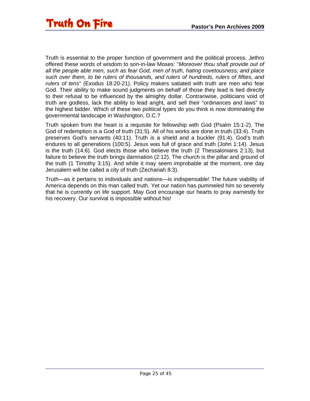Truth is essential to the proper function of government and the political process. Jethro offered these words of wisdom to son-in-law Moses: "*Moreover thou shalt provide out of all the people able men, such as fear God, men of truth, hating covetousness; and place such over them, to be rulers of thousands, and rulers of hundreds, rulers of fifties, and rulers of tens*" (Exodus 18:20-21). Policy makers satiated with truth are men who fear God. Their ability to make sound judgments on behalf of those they lead is tied directly to their refusal to be influenced by the almighty dollar. Contrariwise, politicians void of truth are godless, lack the ability to lead aright, and sell their "ordinances and laws" to the highest bidder. Which of these two political types do you think is now dominating the governmental landscape in Washington, D.C.?

Truth spoken from the heart is a requisite for fellowship with God (Psalm 15:1-2). The God of redemption is a God of truth (31:5). All of his works are done in truth (33:4). Truth preserves God's servants (40:11). Truth is a shield and a buckler (91:4). God's truth endures to all generations (100:5). Jesus was full of grace and truth (John 1:14). Jesus is the truth (14:6). God elects those who believe the truth (2 Thessalonians 2:13), but failure to believe the truth brings damnation (2:12). The church is the pillar and ground of the truth (1 Timothy 3:15). And while it may seem improbable at the moment, one day Jerusalem will be called a city of truth (Zechariah 8:3).

Truth—as it pertains to individuals and nations—is indispensable! The future viability of America depends on this man called truth. Yet our nation has pummeled him so severely that he is currently on life support. May God encourage our hearts to pray earnestly for his recovery. Our survival is impossible without his!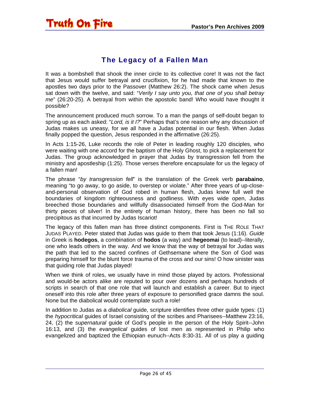#### The Legacy of a Fallen Man

<span id="page-25-0"></span>It was a bombshell that shook the inner circle to its collective core! It was not the fact that Jesus would suffer betrayal and crucifixion, for he had made that known to the apostles two days prior to the Passover (Matthew 26:2). The shock came when Jesus sat down with the twelve, and said: "*Verily I say unto you, that one of you shall betray me*" (26:20-25). A betrayal from within the apostolic band! Who would have thought it possible?

The announcement produced much sorrow. To a man the pangs of self-doubt began to spring up as each asked: "*Lord, is it I?*" Perhaps that's one reason why any discussion of Judas makes us uneasy, for we all have a Judas potential in our flesh. When Judas finally popped the question, Jesus responded in the affirmative (26:25).

In Acts 1:15-26, Luke records the role of Peter in leading roughly 120 disciples, who were waiting with one accord for the baptism of the Holy Ghost, to pick a replacement for Judas. The group acknowledged in prayer that Judas by transgression fell from the ministry and apostleship (1:25). Those verses therefore encapsulate for us the legacy of a fallen man!

The phrase "*by transgression fell*" is the translation of the Greek verb **parabaino**, meaning "to go away, to go aside, to overstep or violate." After three years of up-closeand-personal observation of God robed in human flesh, Judas knew full well the boundaries of kingdom righteousness and godliness. With eyes wide open, Judas breeched those boundaries and willfully disassociated himself from the God-Man for thirty pieces of silver! In the entirety of human history, there has been no fall so precipitous as that incurred by Judas Iscariot!

The legacy of this fallen man has three distinct components. First is THE ROLE THAT JUDAS PLAYED. Peter stated that Judas was guide to them that took Jesus (1:16). *Guide* in Greek is **hodegos**, a combination of **hodos** (a way) and **hegeomai** (to lead)--literally, one who leads others in the way. And we know that the way of betrayal for Judas was the path that led to the sacred confines of Gethsemane where the Son of God was preparing himself for the blunt force trauma of the cross and our sins! O how sinister was that guiding role that Judas played!

When we think of roles, we usually have in mind those played by actors. Professional and would-be actors alike are reputed to pour over dozens and perhaps hundreds of scripts in search of that one role that will launch and establish a career. But to inject oneself into this role after three years of exposure to personified grace damns the soul. None but the diabolical would contemplate such a role!

In addition to Judas as a *diabolical* guide, scripture identifies three other guide types: (1) the *hypocritical* guides of Israel consisting of the scribes and Pharisees--Matthew 23:16, 24, (2) the *supernatural* guide of God's people in the person of the Holy Spirit--John 16:13, and (3) the *evangelical* guides of lost men as represented in Philip who evangelized and baptized the Ethiopian eunuch--Acts 8:30-31. All of us play a guiding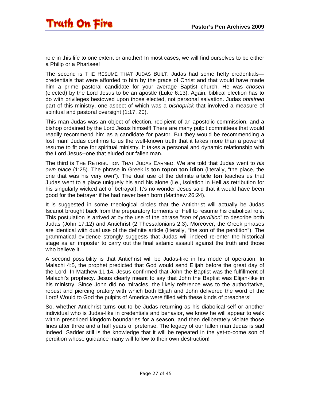role in this life to one extent or another! In most cases, we will find ourselves to be either a Philip or a Pharisee!

The second is THE RESUME THAT JUDAS BUILT. Judas had some hefty credentials credentials that were afforded to him by the grace of Christ and that would have made him a prime pastoral candidate for your average Baptist church. He was *chosen* (elected) by the Lord Jesus to be an apostle (Luke 6:13). Again, biblical election has to do with privileges bestowed upon those elected, not personal salvation. Judas *obtained* part of this ministry, one aspect of which was a *bishoprick* that involved a measure of spiritual and pastoral oversight (1:17, 20).

This man Judas was an object of election, recipient of an apostolic commission, and a bishop ordained by the Lord Jesus himself! There are many pulpit committees that would readily recommend him as a candidate for pastor. But they would be recommending a lost man! Judas confirms to us the well-known truth that it takes more than a powerful resume to fit one for spiritual ministry. It takes a personal and dynamic relationship with the Lord Jesus--one that eluded our fallen man.

The third is THE RETRIBUTION THAT JUDAS EARNED. We are told that Judas went to *his own place* (1:25). The phrase in Greek is **ton topon ton idion** (literally, "the place, the one that was his very own"). The dual use of the definite article **ton** teaches us that Judas went to a place uniquely his and his alone (i.e., isolation in Hell as retribution for his singularly wicked act of betrayal). It's no wonder Jesus said that it would have been good for the betrayer if he had never been born (Matthew 26:24).

It is suggested in some theological circles that the Antichrist will actually be Judas Iscariot brought back from the preparatory torments of Hell to resume his diabolical role. This postulation is arrived at by the use of the phrase "*son of perdition*" to describe both Judas (John 17:12) and Antichrist (2 Thessalonians 2:3). Moreover, the Greek phrases are identical with dual use of the definite article (literally, "the son of the perdition"). The grammatical evidence strongly suggests that Judas will indeed re-enter the historical stage as an imposter to carry out the final satanic assault against the truth and those who believe it.

A second possibility is that Antichrist will be Judas-like in his mode of operation. In Malachi 4:5, the prophet predicted that God would send Elijah before the great day of the Lord. In Matthew 11:14, Jesus confirmed that John the Baptist was the fulfillment of Malachi's prophecy. Jesus clearly meant to say that John the Baptist was Elijah-like in his ministry. Since John did no miracles, the likely reference was to the authoritative, robust and piercing oratory with which both Elijah and John delivered the word of the Lord! Would to God the pulpits of America were filled with these kinds of preachers!

So, whether Antichrist turns out to be Judas returning as his diabolical self or another individual who is Judas-like in credentials and behavior, we know he will appear to walk within prescribed kingdom boundaries for a season, and then deliberately violate those lines after three and a half years of pretense. The legacy of our fallen man Judas is sad indeed. Sadder still is the knowledge that it will be repeated in the yet-to-come son of perdition whose guidance many will follow to their own destruction!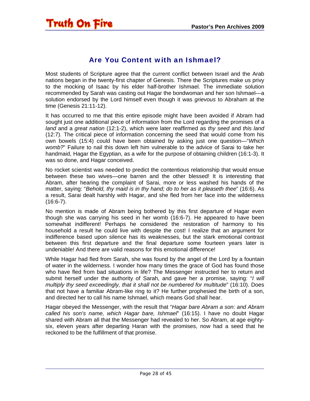#### Are You Content with an Ishmael?

<span id="page-27-0"></span>Most students of Scripture agree that the current conflict between Israel and the Arab nations began in the twenty-first chapter of Genesis. There the Scriptures make us privy to the mocking of Isaac by his elder half-brother Ishmael. The immediate solution recommended by Sarah was casting out Hagar the bondwoman and her son Ishmael—a solution endorsed by the Lord himself even though it was *grievous* to Abraham at the time (Genesis 21:11-12).

It has occurred to me that this entire episode might have been avoided if Abram had sought just one additional piece of information from the Lord regarding the promises of a *land* and a *great nation* (12:1-2), which were later reaffirmed as *thy seed* and *this land* (12:7). The critical piece of information concerning the seed that would come from his own bowels (15:4) could have been obtained by asking just one question—"*Which womb?*" Failure to nail this down left him vulnerable to the advice of Sarai to take her handmaid, Hagar the Egyptian, as a wife for the purpose of obtaining children (16:1-3). It was so done, and Hagar conceived.

No rocket scientist was needed to predict the contentious relationship that would ensue between these two wives—one barren and the other blessed! It is interesting that Abram, after hearing the complaint of Sarai, more or less washed his hands of the matter, saying: "*Behold, thy maid is in thy hand; do to her as it pleaseth thee*" (16:6). As a result, Sarai dealt harshly with Hagar, and she fled from her face into the wilderness  $(16:6-7)$ .

No mention is made of Abram being bothered by this first departure of Hagar even though she was carrying his seed in her womb (16:6-7). He appeared to have been somewhat indifferent! Perhaps he considered the restoration of harmony to his household a result he could live with despite the cost! I realize that an argument for indifference based upon silence has its weaknesses, but the stark emotional contrast between this first departure and the final departure some fourteen years later is undeniable! And there are valid reasons for this emotional difference!

While Hagar had fled from Sarah, she was found by the angel of the Lord by a fountain of water in the wilderness. I wonder how many times the grace of God has found those who have fled from bad situations in life? The Messenger instructed her to return and submit herself under the authority of Sarah, and gave her a promise, saying: "*I will multiply thy seed exceedingly, that it shall not be numbered for multitude*" (16:10). Does that not have a familiar Abram-like ring to it? He further prophesied the birth of a son, and directed her to call his name Ishmael, which means God shall hear.

Hagar obeyed the Messenger, with the result that "*Hagar bare Abram a son: and Abram called his son's name, which Hagar bare, Ishmael*" (16:15). I have no doubt Hagar shared with Abram all that the Messenger had revealed to her. So Abram, at age eightysix, eleven years after departing Haran with the promises, now had a seed that he reckoned to be the fulfillment of that promise.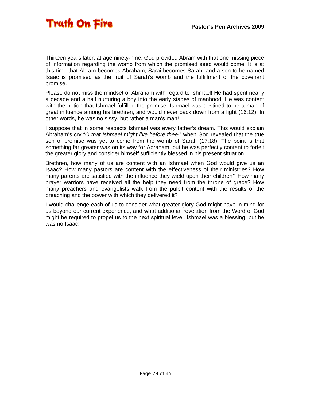Thirteen years later, at age ninety-nine, God provided Abram with that one missing piece of information regarding the womb from which the promised seed would come. It is at this time that Abram becomes Abraham, Sarai becomes Sarah, and a son to be named Isaac is promised as the fruit of Sarah's womb and the fulfillment of the covenant promise.

Please do not miss the mindset of Abraham with regard to Ishmael! He had spent nearly a decade and a half nurturing a boy into the early stages of manhood. He was content with the notion that Ishmael fulfilled the promise. Ishmael was destined to be a man of great influence among his brethren, and would never back down from a fight (16:12). In other words, he was no sissy, but rather a man's man!

I suppose that in some respects Ishmael was every father's dream. This would explain Abraham's cry "*O that Ishmael might live before thee!*" when God revealed that the true son of promise was yet to come from the womb of Sarah (17:18). The point is that something far greater was on its way for Abraham, but he was perfectly content to forfeit the greater glory and consider himself sufficiently blessed in his present situation.

Brethren, how many of us are content with an Ishmael when God would give us an Isaac? How many pastors are content with the effectiveness of their ministries? How many parents are satisfied with the influence they wield upon their children? How many prayer warriors have received all the help they need from the throne of grace? How many preachers and evangelists walk from the pulpit content with the results of the preaching and the power with which they delivered it?

I would challenge each of us to consider what greater glory God might have in mind for us beyond our current experience, and what additional revelation from the Word of God might be required to propel us to the next spiritual level. Ishmael was a blessing, but he was no Isaac!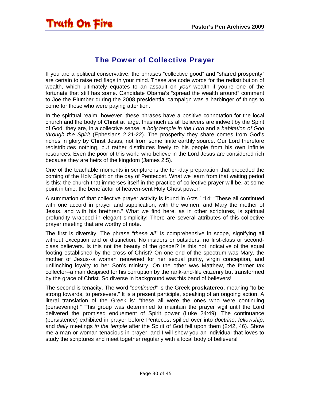#### The Power of Collective Prayer

<span id="page-29-0"></span>If you are a political conservative, the phrases "collective good" and "shared prosperity" are certain to raise red flags in your mind. These are code words for the redistribution of wealth, which ultimately equates to an assault on *your* wealth if you're one of the fortunate that still has some. Candidate Obama's "spread the wealth around" comment to Joe the Plumber during the 2008 presidential campaign was a harbinger of things to come for those who were paying attention.

In the spiritual realm, however, these phrases have a positive connotation for the local church and the body of Christ at large. Inasmuch as all believers are indwelt by the Spirit of God, they are, in a collective sense, a *holy temple in the Lord* and a *habitation of God through the Spirit* (Ephesians 2:21-22). The prosperity they share comes from God's riches in glory by Christ Jesus, not from some finite earthly source. Our Lord therefore redistributes nothing, but rather distributes freely to his people from his own infinite resources. Even the poor of this world who believe in the Lord Jesus are considered rich because they are heirs of the kingdom (James 2:5).

One of the teachable moments in scripture is the ten-day preparation that preceded the coming of the Holy Spirit on the day of Pentecost. What we learn from that waiting period is this: the church that immerses itself in the practice of collective prayer will be, at some point in time, the benefactor of heaven-sent Holy Ghost power!

A summation of that collective prayer activity is found in Acts 1:14: "These all continued with one accord in prayer and supplication, with the women, and Mary the mother of Jesus, and with his brethren." What we find here, as in other scriptures, is spiritual profundity wrapped in elegant simplicity! There are several attributes of this collective prayer meeting that are worthy of note.

The first is diversity. The phrase "*these all*" is comprehensive in scope, signifying all without exception and or distinction. No insiders or outsiders, no first-class or secondclass believers. Is this not the beauty of the gospel? Is this not indicative of the equal footing established by the cross of Christ? On one end of the spectrum was Mary, the mother of Jesus--a woman renowned for her sexual purity, virgin conception, and unflinching loyalty to her Son's ministry. On the other was Matthew, the former tax collector--a man despised for his corruption by the rank-and-file citizenry but transformed by the grace of Christ. So diverse in background was this band of believers!

The second is tenacity. The word "*continued*" is the Greek **proskatereo**, meaning "to be strong towards, to persevere." It is a present participle, speaking of an ongoing action. A literal translation of the Greek is: "these all were the ones who were continuing (persevering)." This group was determined to maintain the prayer vigil until the Lord delivered the promised enduement of Spirit power (Luke 24:49). The continuance (persistence) exhibited in prayer before Pentecost spilled over into *doctrine*, *fellowship*, and *daily* meetings *in the temple* after the Spirit of God fell upon them (2:42, 46). Show me a man or woman tenacious in prayer, and I will show you an individual that loves to study the scriptures and meet together regularly with a local body of believers!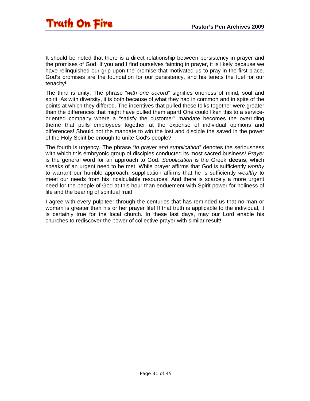It should be noted that there is a direct relationship between persistency in prayer and the promises of God. If you and I find ourselves fainting in prayer, it is likely because we have relinquished our grip upon the promise that motivated us to pray in the first place. God's promises are the foundation for our persistency, and his tenets the fuel for our tenacity!

The third is unity. The phrase "*with one accord*" signifies oneness of mind, soul and spirit. As with diversity, it is both because of what they had in common and in spite of the points at which they differed. The incentives that pulled these folks together were greater than the differences that might have pulled them apart! One could liken this to a serviceoriented company where a "satisfy the customer" mandate becomes the overriding theme that pulls employees together at the expense of individual opinions and differences! Should not the mandate to win the lost and disciple the saved in the power of the Holy Spirit be enough to unite God's people?

The fourth is urgency. The phrase "*in prayer and supplication*" denotes the seriousness with which this embryonic group of disciples conducted its most sacred business! *Prayer* is the general word for an approach to God. *Supplication* is the Greek **deesis**, which speaks of an urgent need to be met. While prayer affirms that God is sufficiently *worthy* to warrant our humble approach, supplication affirms that he is sufficiently *wealthy* to meet our needs from his incalculable resources! And there is scarcely a more urgent need for the people of God at this hour than enduement with Spirit power for holiness of life and the bearing of spiritual fruit!

I agree with every pulpiteer through the centuries that has reminded us that no man or woman is greater than his or her prayer life! If that truth is applicable to the individual, it is certainly true for the local church. In these last days, may our Lord enable his churches to rediscover the power of collective prayer with similar result!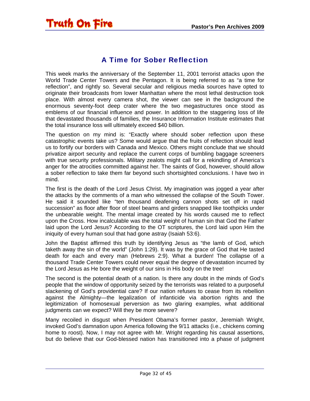#### A Time for Sober Reflection

<span id="page-31-0"></span>This week marks the anniversary of the September 11, 2001 terrorist attacks upon the World Trade Center Towers and the Pentagon. It is being referred to as "a time for reflection", and rightly so. Several secular and religious media sources have opted to originate their broadcasts from lower Manhattan where the most lethal destruction took place. With almost every camera shot, the viewer can see in the background the enormous seventy-foot deep crater where the two megastructures once stood as emblems of our financial influence and power. In addition to the staggering loss of life that devastated thousands of families, the Insurance Information Institute estimates that the total insurance loss will ultimately exceed \$40 billion.

The question on my mind is: "Exactly where should sober reflection upon these catastrophic events take us? Some would argue that the fruits of reflection should lead us to fortify our borders with Canada and Mexico. Others might conclude that we should privatize airport security and replace the current corps of bumbling baggage screeners with true security professionals. Military zealots might call for a rekindling of America's anger for the atrocities committed against her. The saints of God, however, should allow a sober reflection to take them far beyond such shortsighted conclusions. I have two in mind.

The first is the death of the Lord Jesus Christ. My imagination was jogged a year after the attacks by the comments of a man who witnessed the collapse of the South Tower. He said it sounded like "ten thousand deafening cannon shots set off in rapid succession" as floor after floor of steel beams and girders snapped like toothpicks under the unbearable weight. The mental image created by his words caused me to reflect upon the Cross. How incalculable was the total weight of human sin that God the Father laid upon the Lord Jesus? According to the OT scriptures, the Lord laid upon Him the iniquity of every human soul that had gone astray (Isaiah 53:6).

John the Baptist affirmed this truth by identifying Jesus as "the lamb of God, which taketh away the sin of the world" (John 1:29). It was by the grace of God that He tasted death for each and every man (Hebrews 2:9). What a burden! The collapse of a thousand Trade Center Towers could never equal the degree of devastation incurred by the Lord Jesus as He bore the weight of our sins in His body on the tree!

The second is the potential death of a nation. Is there any doubt in the minds of God's people that the window of opportunity seized by the terrorists was related to a purposeful slackening of God's providential care? If our nation refuses to cease from its rebellion against the Almighty—the legalization of infanticide via abortion rights and the legitimization of homosexual perversion as two glaring examples, what additional judgments can we expect? Will they be more severe?

Many recoiled in disgust when President Obama's former pastor, Jeremiah Wright, invoked God's damnation upon America following the 9/11 attacks (i.e., chickens coming home to roost). Now, I may not agree with Mr. Wright regarding his causal assertions, but do believe that our God-blessed nation has transitioned into a phase of judgment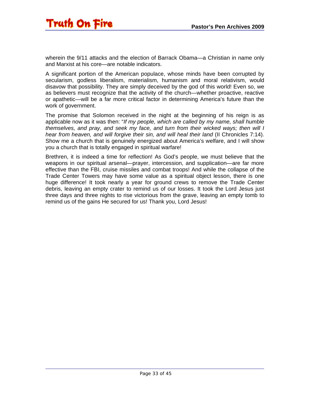wherein the 9/11 attacks and the election of Barrack Obama—a Christian in name only and Marxist at his core—are notable indicators.

A significant portion of the American populace, whose minds have been corrupted by secularism, godless liberalism, materialism, humanism and moral relativism, would disavow that possibility. They are simply deceived by the god of this world! Even so, we as believers must recognize that the activity of the church—whether proactive, reactive or apathetic—will be a far more critical factor in determining America's future than the work of government.

The promise that Solomon received in the night at the beginning of his reign is as applicable now as it was then: "*If my people, which are called by my name, shall humble themselves, and pray, and seek my face, and turn from their wicked ways; then will I hear from heaven, and will forgive their sin, and will heal their land* (II Chronicles 7:14). Show me a church that is genuinely energized about America's welfare, and I will show you a church that is totally engaged in spiritual warfare!

Brethren, it is indeed a time for reflection! As God's people, we must believe that the weapons in our spiritual arsenal—prayer, intercession, and supplication—are far more effective than the FBI, cruise missiles and combat troops! And while the collapse of the Trade Center Towers may have some value as a spiritual object lesson, there is one huge difference! It took nearly a year for ground crews to remove the Trade Center debris, leaving an empty crater to remind us of our losses. It took the Lord Jesus just three days and three nights to rise victorious from the grave, leaving an empty tomb to remind us of the gains He secured for us! Thank you, Lord Jesus!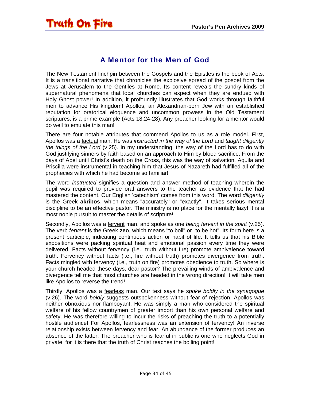#### A Mentor for the Men of God

<span id="page-33-0"></span>The New Testament linchpin between the Gospels and the Epistles is the book of Acts. It is a transitional narrative that chronicles the explosive spread of the gospel from the Jews at Jerusalem to the Gentiles at Rome. Its content reveals the sundry kinds of supernatural phenomena that local churches can expect when they are endued with Holy Ghost power! In addition, it profoundly illustrates that God works through faithful men to advance His kingdom! Apollos, an Alexandrian-born Jew with an established reputation for oratorical eloquence and uncommon prowess in the Old Testament scriptures, is a prime example (Acts 18:24-28). Any preacher looking for a mentor would do well to emulate this man!

There are four notable attributes that commend Apollos to us as a role model. First, Apollos was a factual man. He was *instructed in the way of the Lord* and *taught diligently the things of the Lord* (v.25). In my understanding, the way of the Lord has to do with God justifying sinners by faith based on an approach to Him by blood sacrifice. From the days of Abel until Christ's death on the Cross, this was the way of salvation. Aquila and Priscilla were instrumental in teaching him that Jesus of Nazareth had fulfilled all of the prophecies with which he had become so familiar!

The word *instructed* signifies a question and answer method of teaching wherein the pupil was required to provide oral answers to the teacher as evidence that he had mastered the content. Our English 'catechism' comes from this word. The word *diligently* is the Greek **akribos**, which means "accurately" or "exactly". It takes serious mental discipline to be an effective pastor. The ministry is no place for the mentally lazy! It is a most noble pursuit to master the details of scripture!

Secondly, Apollos was a fervent man, and spoke as one *being fervent in the spirit* (v.25). The verb *fervent* is the Greek **zeo**, which means "to boil" or "to be hot". Its form here is a present participle, indicating continuous action or habit of life. It tells us that his Bible expositions were packing spiritual heat and emotional passion every time they were delivered. Facts without fervency (i.e., truth without fire) promote ambivalence toward truth. Fervency without facts (i.e., fire without truth) promotes divergence from truth. Facts mingled with fervency (i.e., truth on fire) promotes obedience to truth. So where is your church headed these days, dear pastor? The prevailing winds of ambivalence and divergence tell me that most churches are headed in the wrong direction! It will take men like Apollos to reverse the trend!

Thirdly, Apollos was a fearless man. Our text says he s*poke boldly in the synagogue* (v.26). The word *boldly* suggests outspokenness without fear of rejection. Apollos was neither obnoxious nor flamboyant. He was simply a man who considered the spiritual welfare of his fellow countrymen of greater import than his own personal welfare and safety. He was therefore willing to incur the risks of preaching the truth to a potentially hostile audience! For Apollos, fearlessness was an extension of fervency! An inverse relationship exists between fervency and fear. An abundance of the former produces an absence of the latter. The preacher who is fearful in public is one who neglects God in private; for it is there that the truth of Christ reaches the boiling point!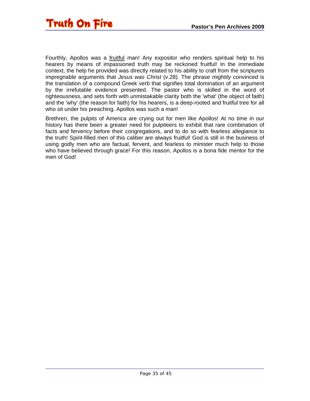

Fourthly, Apollos was a fruitful man! Any expositor who renders spiritual help to his hearers by means of impassioned truth may be reckoned fruitful! In the immediate context, the help he provided was directly related to his ability to craft from the scriptures impregnable arguments that *Jesus was Christ* (v.28). The phrase *mightily convinced* is the translation of a compound Greek verb that signifies total domination of an argument by the irrefutable evidence presented. The pastor who is skilled in the word of righteousness, and sets forth with unmistakable clarity both the 'what' (the object of faith) and the 'why' (the reason for faith) for his hearers, is a deep-rooted and fruitful tree for all who sit under his preaching. Apollos was such a man!

Brethren, the pulpits of America are crying out for men like Apollos! At no time in our history has there been a greater need for pulpiteers to exhibit that rare combination of facts and fervency before their congregations, and to do so with fearless allegiance to the truth! Spirit-filled men of this caliber are always fruitful! God is still in the business of using godly men who are factual, fervent, and fearless to minister much help to those who have believed through grace! For this reason, Apollos is a bona fide mentor for the men of God!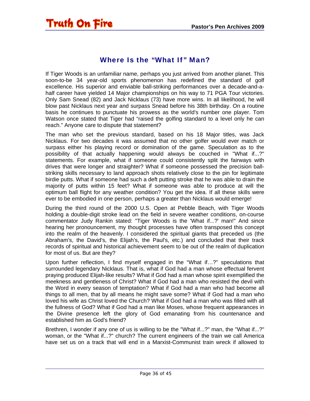#### Where Is the "What If" Man?

<span id="page-35-0"></span>If Tiger Woods is an unfamiliar name, perhaps you just arrived from another planet. This soon-to-be 34 year-old sports phenomenon has redefined the standard of golf excellence. His superior and enviable ball-striking performances over a decade-and-ahalf career have yielded 14 Major championships on his way to 71 PGA Tour victories. Only Sam Snead (82) and Jack Nicklaus (73) have more wins. In all likelihood, he will blow past Nicklaus next year and surpass Snead before his 38th birthday. On a routine basis he continues to punctuate his prowess as the world's number one player. Tom Watson once stated that Tiger had "raised the golfing standard to a level only he can reach." Anyone care to dispute that statement?

The man who set the previous standard, based on his 18 Major titles, was Jack Nicklaus. For two decades it was assumed that no other golfer would ever match or surpass either his playing record or domination of the game. Speculation as to the possibility of that actually happening would always be couched in "What if...?" statements. For example, what if someone could consistently split the fairways with drives that were longer and straighter? What if someone possessed the precision ballstriking skills necessary to land approach shots relatively close to the pin for legitimate birdie putts. What if someone had such a deft putting stroke that he was able to drain the majority of putts within 15 feet? What if someone was able to produce at will the optimum ball flight for any weather condition? You get the idea. If all these skills were ever to be embodied in one person, perhaps a greater than Nicklaus would emerge!

During the third round of the 2000 U.S. Open at Pebble Beach, with Tiger Woods holding a double-digit stroke lead on the field in severe weather conditions, on-course commentator Judy Rankin stated: "Tiger Woods is the 'What if...?' man!" And since hearing her pronouncement, my thought processes have often transposed this concept into the realm of the heavenly. I considered the spiritual giants that preceded us (the Abraham's, the David's, the Elijah's, the Paul's, etc.) and concluded that their track records of spiritual and historical achievement seem to be out of the realm of duplication for most of us. But are they?

Upon further reflection, I find myself engaged in the "What if…?" speculations that surrounded legendary Nicklaus. That is, what if God had a man whose effectual fervent praying produced Elijah-like results? What if God had a man whose spirit exemplified the meekness and gentleness of Christ? What if God had a man who resisted the devil with the Word in every season of temptation? What if God had a man who had become all things to all men, that by all means he might save some? What if God had a man who loved his wife as Christ loved the Church? What if God had a man who was filled with all the fullness of God? What if God had a man like Moses, whose frequent appearances in the Divine presence left the glory of God emanating from his countenance and established him as God's friend?

Brethren, I wonder if any one of us is willing to be the "What if...?" man, the "What if...?" woman, or the "What if...?" church? The current engineers of the train we call America have set us on a track that will end in a Marxist-Communist train wreck if allowed to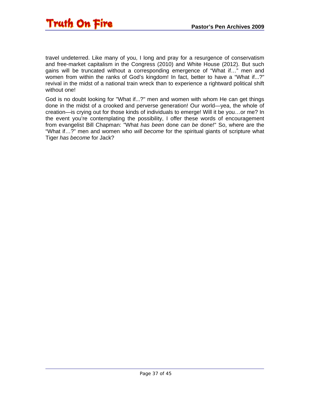

travel undeterred. Like many of you, I long and pray for a resurgence of conservatism and free-market capitalism in the Congress (2010) and White House (2012). But such gains will be truncated without a corresponding emergence of "What if…" men and women from within the ranks of God's kingdom! In fact, better to have a "What if...?" revival in the midst of a national train wreck than to experience a rightward political shift without one!

God is no doubt looking for "What if...?" men and women with whom He can get things done in the midst of a crooked and perverse generation! Our world—yea, the whole of creation—is crying out for those kinds of individuals to emerge! Will it be you…or me? In the event you're contemplating the possibility, I offer these words of encouragement from evangelist Bill Chapman: "What *has been* done *can be* done!" So, where are the "What if…?" men and women who *will become* for the spiritual giants of scripture what Tiger *has become* for Jack?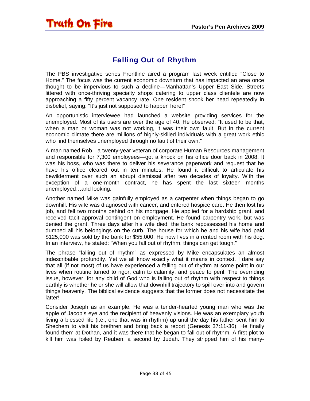#### Falling Out of Rhythm

<span id="page-37-0"></span>The PBS investigative series Frontline aired a program last week entitled "Close to Home." The focus was the current economic downturn that has impacted an area once thought to be impervious to such a decline—Manhattan's Upper East Side. Streets littered with once-thriving specialty shops catering to upper class clientele are now approaching a fifty percent vacancy rate. One resident shook her head repeatedly in disbelief, saying: "It's just not supposed to happen here!"

An opportunistic interviewee had launched a website providing services for the unemployed. Most of its users are over the age of 40. He observed: "It used to be that, when a man or woman was not working, it was their own fault. But in the current economic climate there are millions of highly-skilled individuals with a great work ethic who find themselves unemployed through no fault of their own."

A man named Rob—a twenty-year veteran of corporate Human Resources management and responsible for 7,300 employees—got a knock on his office door back in 2008. It was his boss, who was there to deliver his severance paperwork and request that he have his office cleared out in ten minutes. He found it difficult to articulate his bewilderment over such an abrupt dismissal after two decades of loyalty. With the exception of a one-month contract, he has spent the last sixteen months unemployed…and looking.

Another named Mike was gainfully employed as a carpenter when things began to go downhill. His wife was diagnosed with cancer, and entered hospice care. He then lost his job, and fell two months behind on his mortgage. He applied for a hardship grant, and received tacit approval contingent on employment. He found carpentry work, but was denied the grant. Three days after his wife died, the bank repossessed his home and dumped all his belongings on the curb. The house for which he and his wife had paid \$125,000 was sold by the bank for \$55,000. He now lives in a rented room with his dog. In an interview, he stated: "When you fall out of rhythm, things can get tough."

The phrase "falling out of rhythm" as expressed by Mike encapsulates an almost indescribable profundity. Yet we all know exactly what it means in context. I dare say that all (if not most) of us have experienced a falling out of rhythm at some point in our lives when routine turned to rigor, calm to calamity, and peace to peril. The overriding issue, however, for any child of God who is falling out of rhythm with respect to things earthly is whether he or she will allow that downhill trajectory to spill over into and govern things heavenly. The biblical evidence suggests that the former does not necessitate the latter!

Consider Joseph as an example. He was a tender-hearted young man who was the apple of Jacob's eye and the recipient of heavenly visions. He was an exemplary youth living a blessed life (i.e., one that was in rhythm) up until the day his father sent him to Shechem to visit his brethren and bring back a report (Genesis 37:11-36). He finally found them at Dothan, and it was there that he began to fall out of rhythm. A first plot to kill him was foiled by Reuben; a second by Judah. They stripped him of his many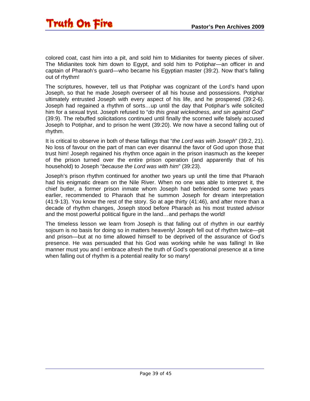colored coat, cast him into a pit, and sold him to Midianites for twenty pieces of silver. The Midianites took him down to Egypt, and sold him to Potiphar—an officer in and captain of Pharaoh's guard—who became his Egyptian master (39:2). Now that's falling out of rhythm!

The scriptures, however, tell us that Potiphar was cognizant of the Lord's hand upon Joseph, so that he made Joseph overseer of all his house and possessions. Potiphar ultimately entrusted Joseph with every aspect of his life, and he prospered (39:2-6). Joseph had regained a rhythm of sorts…up until the day that Potiphar's wife solicited him for a sexual tryst. Joseph refused to "*do this great wickedness, and sin against God*" (39:9). The rebuffed solicitations continued until finally the scorned wife falsely accused Joseph to Potiphar, and to prison he went (39:20). We now have a second falling out of rhythm.

It is critical to observe in both of these fallings that "*the Lord was with Joseph*" (39:2, 21). No loss of favour on the part of man can ever disannul the favor of God upon those that trust him! Joseph regained his rhythm once again in the prison inasmuch as the keeper of the prison turned over the entire prison operation (and apparently that of his household) to Joseph "*because the Lord was with him*" (39:23).

Joseph's prison rhythm continued for another two years up until the time that Pharaoh had his enigmatic dream on the Nile River. When no one was able to interpret it, the chief butler, a former prison inmate whom Joseph had befriended some two years earlier, recommended to Pharaoh that he summon Joseph for dream interpretation (41:9-13). You know the rest of the story. So at age thirty (41:46), and after more than a decade of rhythm changes, Joseph stood before Pharaoh as his most trusted advisor and the most powerful political figure in the land…and perhaps the world!

The timeless lesson we learn from Joseph is that falling out of rhythm in our earthly sojourn is no basis for doing so in matters heavenly! Joseph fell out of rhythm twice—pit and prison—but at no time allowed himself to be deprived of the assurance of God's presence. He was persuaded that his God was working while he was falling! In like manner must you and I embrace afresh the truth of God's operational presence at a time when falling out of rhythm is a potential reality for so many!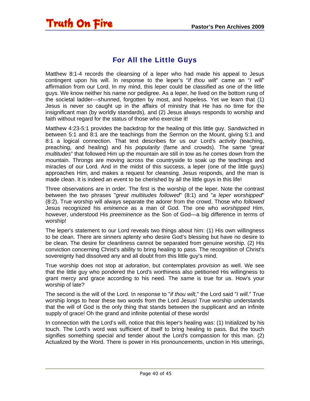#### For All the Little Guys

<span id="page-39-0"></span>Matthew 8:1-4 records the cleansing of a leper who had made his appeal to Jesus contingent upon his will. In response to the leper's "*if thou wilt*" came an "*I will*" affirmation from our Lord. In my mind, this leper could be classified as one of the little guys. We know neither his name nor pedigree. As a leper, he lived on the bottom rung of the societal ladder—shunned, forgotten by most, and hopeless. Yet we learn that (1) Jesus is never so caught up in the affairs of ministry that He has no time for the insignificant man (by worldly standards), and (2) Jesus always responds to worship and faith without regard for the status of those who exercise it!

Matthew 4:23-5:1 provides the backdrop for the healing of this little guy. Sandwiched in between 5:1 and 8:1 are the teachings from the Sermon on the Mount, giving 5:1 and 8:1 a logical connection. That text describes for us our Lord's *activity* (teaching, preaching, and healing) and his *popularity* (fame and crowds). The same "*great multitudes*" that followed Him up the mountain are still in tow as he comes down from the mountain. Throngs are moving across the countryside to soak up the teachings and miracles of our Lord. And in the midst of this success, a leper (one of the little guys) approaches Him, and makes a request for cleansing. Jesus responds, and the man is made clean. It is indeed an event to be cherished by all the little guys in this life!

Three observations are in order. The first is the worship of the leper. Note the contrast between the two phrases "*great multitudes followed*" (8:1) and "*a leper worshipped*" (8:2). True worship will always separate the adorer from the crowd. Those who *followed* Jesus recognized his *eminence* as a man of God. The one who *worshipped* Him, however, understood His *preeminence* as the Son of God—a big difference in terms of worship!

The leper's statement to our Lord reveals two things about him: (1) His own willingness to be clean. There are sinners aplenty who desire God's blessing but have no desire to be clean. The desire for cleanliness cannot be separated from genuine worship. (2) His conviction concerning Christ's ability to bring healing to pass. The recognition of Christ's sovereignty had dissolved any and all doubt from this little guy's mind.

True worship does not stop at *adoration*, but contemplates *provision* as well. We see that the little guy who pondered the Lord's worthiness also petitioned His willingness to grant mercy and grace according to his need. The same is true for us. How's your worship of late?

The second is the will of the Lord. In response to "*if thou wilt*," the Lord said "*I will*." True worship longs to hear these two words from the Lord Jesus! True worship understands that the will of God is the only thing that stands between the supplicant and an infinite supply of grace! Oh the grand and infinite potential of these words!

In connection with the Lord's will, notice that this leper's healing was: (1) Initialized by his touch. The Lord's word was sufficient of itself to bring healing to pass. But the touch signifies something special and tender about the Lord's compassion for this man. (2) Actualized by the Word. There is power in His pronouncements, unction in His utterings,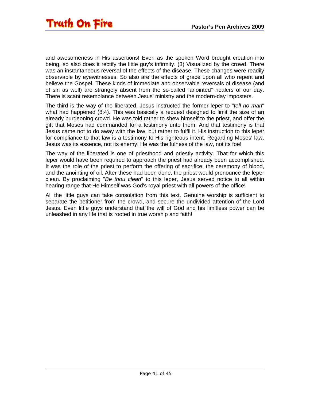and awesomeness in His assertions! Even as the spoken Word brought creation into being, so also does it rectify the little guy's infirmity. (3) Visualized by the crowd. There was an instantaneous reversal of the effects of the disease. These changes were readily observable by eyewitnesses. So also are the effects of grace upon all who repent and believe the Gospel. These kinds of immediate and observable reversals of disease (and of sin as well) are strangely absent from the so-called "anointed" healers of our day. There is scant resemblance between Jesus' ministry and the modern-day imposters.

The third is the way of the liberated. Jesus instructed the former leper to "*tell no man*" what had happened (8:4). This was basically a request designed to limit the size of an already burgeoning crowd. He was told rather to shew himself to the priest, and offer the gift that Moses had commanded for a testimony unto them. And that testimony is that Jesus came not to do away with the law, but rather to fulfil it. His instruction to this leper for compliance to that law is a testimony to His righteous intent. Regarding Moses' law, Jesus was its essence, not its enemy! He was the fulness of the law, not its foe!

The way of the liberated is one of priesthood and priestly activity. That for which this leper would have been required to approach the priest had already been accomplished. It was the role of the priest to perform the offering of sacrifice, the ceremony of blood, and the anointing of oil. After these had been done, the priest would pronounce the leper clean. By proclaiming "*Be thou clean*" to this leper, Jesus served notice to all within hearing range that He Himself was God's royal priest with all powers of the office!

All the little guys can take consolation from this text. Genuine worship is sufficient to separate the petitioner from the crowd, and secure the undivided attention of the Lord Jesus. Even little guys understand that the will of God and his limitless power can be unleashed in any life that is rooted in true worship and faith!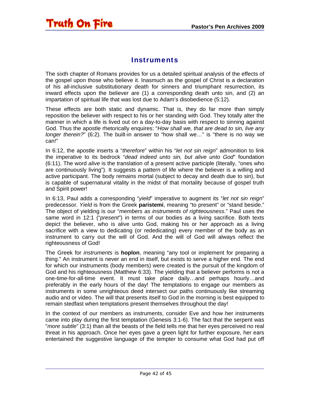#### **Instruments**

<span id="page-41-0"></span>The sixth chapter of Romans provides for us a detailed spiritual analysis of the effects of the gospel upon those who believe it. Inasmuch as the gospel of Christ is a declaration of his all-inclusive substitutionary death for sinners and triumphant resurrection, its inward effects upon the believer are (1) a corresponding death unto sin, and (2) an impartation of spiritual life that was lost due to Adam's disobedience (5:12).

These effects are both static and dynamic. That is, they do far more than simply reposition the believer with respect to his or her standing with God. They totally alter the manner in which a life is lived out on a day-to-day basis with respect to sinning against God. Thus the apostle rhetorically enquires: "*How shall we, that are dead to sin, live any longer therein?*" (6:2). The built-in answer to "how shall we..." is "there is no way we can!"

In 6:12, the apostle inserts a "*therefore*" within his "*let not sin reign*" admonition to link the imperative to its bedrock "*dead indeed unto sin, but alive unto God*" foundation (6:11). The word *alive* is the translation of a present active participle (literally, "ones who are continuously living"). It suggests a pattern of life where the believer is a willing and active participant. The body remains mortal (subject to decay and death due to sin), but is capable of supernatural vitality in the midst of that mortality because of gospel truth and Spirit power!

In 6:13, Paul adds a corresponding "*yield*" imperative to augment its "*let not sin reign*" predecessor. *Yield* is from the Greek **paristemi**, meaning "to present" or "stand beside." The object of yielding is our "*members as instruments of righteousness*." Paul uses the same word in 12:1 ("*present*") in terms of our bodies as a living sacrifice. Both texts depict the believer, who is alive unto God, making his or her approach as a living sacrifice with a view to dedicating (or rededicating) every member of the body as an instrument to carry out the will of God. And the will of God will always reflect the righteousness of God!

The Greek for *instruments* is **hoplon**, meaning "any tool or implement for preparing a thing." An instrument is never an end in itself, but exists to serve a higher end. The end for which our instruments (body members) were created is the pursuit of the kingdom of God and his righteousness (Matthew 6:33). The yielding that a believer performs is not a one-time-for-all-time event. It must take place daily…and perhaps hourly…and preferably in the early hours of the day! The temptations to engage our members as instruments in some unrighteous deed intersect our paths continuously like streaming audio and or video. The will that presents itself to God in the morning is best equipped to remain stedfast when temptations present themselves throughout the day!

In the context of our members as instruments, consider Eve and how her instruments came into play during the first temptation (Genesis 3:1-6). The fact that the serpent was "*more subtle*" (3:1) than all the beasts of the field tells me that her eyes perceived no real threat in his approach. Once her eyes gave a green light for further exposure, her ears entertained the suggestive language of the tempter to consume what God had put off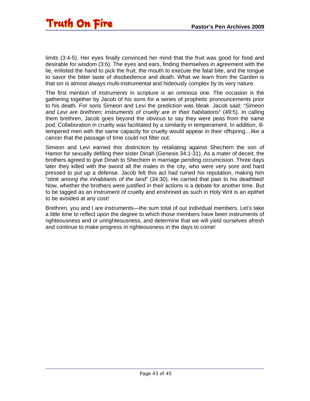

limits (3:4-5). Her eyes finally convinced her mind that the fruit was good for food and desirable for wisdom (3:6). The eyes and ears, finding themselves in agreement with the lie, enlisted the hand to pick the fruit, the mouth to execute the fatal bite, and the tongue to savor the bitter taste of disobedience and death. What we learn from the Garden is that sin is almost always multi-instrumental and hideously complex by its very nature.

The first mention of *instruments* in scripture is an ominous one. The occasion is the gathering together by Jacob of his sons for a series of prophetic pronouncements prior to his death. For sons Simeon and Levi the prediction was bleak. Jacob said: "*Simeon and Levi are brethren; instruments of cruelty are in their habitations*" (49:5). In calling them brethren, Jacob goes beyond the obvious to say they were peas from the same pod. Collaboration in cruelty was facilitated by a similarity in temperament. In addition, illtempered men with the same capacity for cruelty would appear in their offspring…like a cancer that the passage of time could not filter out.

Simeon and Levi earned this distinction by retaliating against Shechem the son of Hamor for sexually defiling their sister Dinah (Genesis 34:1-31). As a mater of deceit, the brothers agreed to give Dinah to Shechem in marriage pending circumcision. Three days later they killed with the sword all the males in the city, who were very sore and hard pressed to put up a defense. Jacob felt this act had ruined his reputation, making him "*stink among the inhabitants of the land*" (34:30). He carried that pain to his deathbed! Now, whether the brothers were justified in their actions is a debate for another time. But to be tagged as an instrument of cruelty and enshrined as such in Holy Writ is an epithet to be avoided at any cost!

Brethren, you and I are instruments—the sum total of our individual members. Let's take a little time to reflect upon the degree to which those members have been instruments of righteousness and or unrighteousness, and determine that we will yield ourselves afresh and continue to make progress in righteousness in the days to come!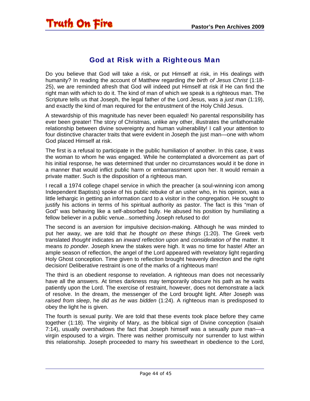#### God at Risk with a Righteous Man

<span id="page-43-0"></span>Do you believe that God will take a risk, or put Himself at risk, in His dealings with humanity? In reading the account of Matthew regarding *the birth of Jesus Christ* (1:18- 25), we are reminded afresh that God will indeed put Himself at risk if He can find the right man with which to do it. The kind of man of which we speak is a righteous man. The Scripture tells us that Joseph, the legal father of the Lord Jesus, was a *just man* (1:19), and exactly the kind of man required for the entrustment of the Holy Child Jesus.

A stewardship of this magnitude has never been equaled! No parental responsibility has ever been greater! The story of Christmas, unlike any other, illustrates the unfathomable relationship between divine sovereignty and human vulnerability! I call your attention to four distinctive character traits that were evident in Joseph the just man—one with whom God placed Himself at risk.

The first is a refusal to participate in the public humiliation of another. In this case, it was the woman to whom he was engaged. While he contemplated a divorcement as part of his initial response, he was determined that under no circumstances would it be done in a manner that would inflict public harm or embarrassment upon her. It would remain a private matter. Such is the disposition of a righteous man.

I recall a 1974 college chapel service in which the preacher (a soul-winning icon among Independent Baptists) spoke of his public rebuke of an usher who, in his opinion, was a little lethargic in getting an information card to a visitor in the congregation. He sought to justify his actions in terms of his spiritual authority as pastor. The fact is this "man of God" was behaving like a self-absorbed bully. He abused his position by humiliating a fellow believer in a public venue...something Joseph refused to do!

The second is an aversion for impulsive decision-making. Although he was minded to put her away, we are told that *he thought on these things* (1:20). The Greek verb translated *thought* indicates an *inward reflection upon* and *consideration of* the matter. It means *to ponder*. Joseph knew the stakes were high. It was no time for haste! After an ample season of reflection, the angel of the Lord appeared with revelatory light regarding Holy Ghost conception. Time given to reflection brought heavenly direction and the right decision! Deliberative restraint is one of the marks of a righteous man!

The third is an obedient response to revelation. A righteous man does not necessarily have all the answers. At times darkness may temporarily obscure his path as he waits patiently upon the Lord. The exercise of restraint, however, does not demonstrate a lack of resolve. In the dream, the messenger of the Lord brought light. After Joseph was *raised from sleep*, he *did as he was bidden* (1:24). A righteous man is predisposed to obey the light he is given.

The fourth is sexual purity. We are told that these events took place before they came together (1:18). The virginity of Mary, as the biblical sign of Divine conception (Isaiah 7:14), usually overshadows the fact that Joseph himself was a sexually pure man—a virgin espoused to a virgin. There was neither promiscuity nor surrender to lust within this relationship. Joseph proceeded to marry his sweetheart in obedience to the Lord,